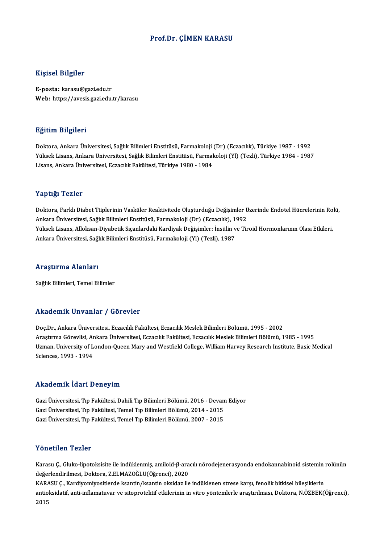### Prof.Dr. ÇİMEN KARASU

### Kişisel Bilgiler

E-posta: karasu@gazi.edu.tr Web: https://avesis.gazi.edu.tr/karasu

#### Eğitim Bilgileri

Doktora,AnkaraÜniversitesi,SağlıkBilimleriEnstitüsü,Farmakoloji (Dr) (Eczacılık),Türkiye 1987 -1992 YüksekLisans,AnkaraÜniversitesi,SağlıkBilimleriEnstitüsü,Farmakoloji (Yl) (Tezli),Türkiye 1984 -1987 Lisans, Ankara Üniversitesi, Eczacılık Fakültesi, Türkiye 1980 - 1984

#### Yaptığı Tezler

Doktora, Farklı Diabet Ttiplerinin Vasküler Reaktivitede Oluşturduğu Değişimler Üzerinde Endotel Hücrelerinin Rolü, Ankara Üniversitesi, Sağlık Bilimleri Enstitüsü, Farmakoloji (Dr) (Eczacılık), 1992 Doktora, Farklı Diabet Ttiplerinin Vasküler Reaktivitede Oluşturduğu Değişimler Üzerinde Endotel Hücrelerinin Ro<br>Ankara Üniversitesi, Sağlık Bilimleri Enstitüsü, Farmakoloji (Dr) (Eczacılık), 1992<br>Yüksek Lisans, Alloksan-D Ankara Üniversitesi, Sağlık Bilimleri Enstitüsü, Farmakoloji (Dr) (Eczacılık), 1'<br>Yüksek Lisans, Alloksan-Diyabetik Sıçanlardaki Kardiyak Değişimler: İnsülin v<br>Ankara Üniversitesi, Sağlık Bilimleri Enstitüsü, Farmakoloji ( Ankara Üniversitesi, Sağlık Bilimleri Enstitüsü, Farmakoloji (Yl) (Tezli), 1987<br>Araştırma Alanları

Sağlık Bilimleri, Temel Bilimler

#### Akademik Unvanlar / Görevler

Akademik Unvanlar / Görevler<br>Doç.Dr., Ankara Üniversitesi, Eczacılık Fakültesi, Eczacılık Meslek Bilimleri Bölümü, 1995 - 2002<br>Anastuma Görevlisi, Ankara Üniversitesi, Eszacılık Fakültesi, Eszacılık Meslek Bilimleri Bölümü Arastırma Görevlinin 7 "dörevler"<br>Doç.Dr., Ankara Üniversitesi, Eczacılık Fakültesi, Eczacılık Meslek Bilimleri Bölümü, 1995 - 2002<br>Araştırma Görevlisi, Ankara Üniversitesi, Eczacılık Fakültesi, Eczacılık Meslek Bilimleri Doç.Dr., Ankara Üniversitesi, Eczacılık Fakültesi, Eczacılık Meslek Bilimleri Bölümü, 1995 - 2002<br>Araştırma Görevlisi, Ankara Üniversitesi, Eczacılık Fakültesi, Eczacılık Meslek Bilimleri Bölümü, 1985 - 1995<br>Uzman, Univers Araștırma Görevlisi, Ar<br>Uzman, University of L<br>Sciences, 1993 - 1994 Sciences, 1993 - 1994<br>Akademik İdari Deneyim

Akademik İdari Deneyim<br>Gazi Üniversitesi, Tıp Fakültesi, Dahili Tıp Bilimleri Bölümü, 2016 - Devam Ediyor<br>Cazi Üniversitesi, Tıp Fakültesi, Temel Tıp Bilimleri Bölümü, 2014 - 2015 11114 CIIIII 1941 - D'Oroy III<br>Gazi Üniversitesi, Tıp Fakültesi, Dahili Tıp Bilimleri Bölümü, 2016 - Devan<br>Gazi Üniversitesi, Tıp Fakültesi, Temel Tıp Bilimleri Bölümü, 2014 - 2015<br>Cazi Üniversitesi, Tıp Fakültesi, Temel T Gazi Üniversitesi, Tıp Fakültesi, Temel Tıp Bilimleri Bölümü, 2014 - 2015<br>Gazi Üniversitesi, Tıp Fakültesi, Temel Tıp Bilimleri Bölümü, 2007 - 2015

#### Yönetilen Tezler

**Yönetilen Tezler**<br>Karasu Ç., Gluko-lipotoksisite ile indüklenmiş, amiloid-β-aracılı nörodejenerasyonda endokannabinoid sistemin rolünün<br>değarlandirilmesi, Delttera Z ELMAZOĞLU(Öğrensi), 2020 1 oncencir 1 once<br>Karasu Ç., Gluko-lipotoksisite ile indüklenmiş, amiloid-β-ara<br>değerlendirilmesi, Doktora, Z.ELMAZOĞLU(Öğrenci), 2020<br>KARASU C. Kardiyomiyesitlərdə kantin (kantin olajdar ilə Karasu Ç., Gluko-lipotoksisite ile indüklenmiş, amiloid-β-aracılı nörodejenerasyonda endokannabinoid sistemin<br>değerlendirilmesi, Doktora, Z.ELMAZOĞLU(Öğrenci), 2020<br>KARASU Ç., Kardiyomiyositlerde ksantin/ksantin oksidaz il değerlendirilmesi, Doktora, Z.ELMAZOĞLU(Öğrenci), 2020<br>KARASU Ç., Kardiyomiyositlerde ksantin/ksantin oksidaz ile indüklenen strese karşı, fenolik bitkisel bileşiklerin<br>antioksidatif, anti-inflamatuvar ve sitoprotektif etk KAR*l*<br>antio<br>2015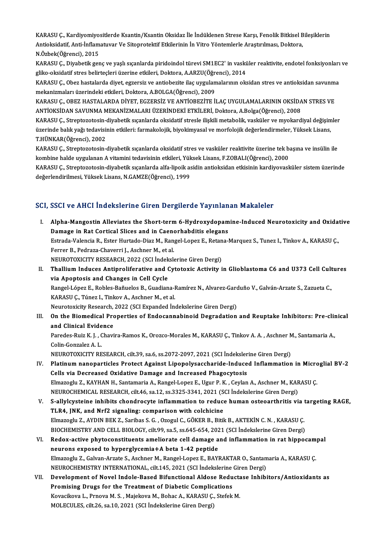KARASU Ç., Kardiyomiyositlerde Ksantin/Ksantin Oksidaz İle İndüklenen Strese Karşı, Fenolik Bitkisel Bileşiklerin<br>Antioksidetif Anti İnflametuyen Ve Sitennetektif Etkilerinin İn Vitre Yöntemlerle Anastrulması, Dektore KARASU Ç., Kardiyomiyositlerde Ksantin/Ksantin Oksidaz İle İndüklenen Strese Karşı, Fenolik Bitkisel B<br>Antioksidatif, Anti-İnflamatuvar Ve Sitoprotektif Etkilerinin İn Vitro Yöntemlerle Araştırılması, Doktora,<br>N Örbek (Öğr KARASU Ç., Kardiyomiyo<br>Antioksidatif, Anti-İnflam<br>N.Özbek(Öğrenci), 2015<br>KARASU C. Diyabetik ser Antioksidatif, Anti-İnflamatuvar Ve Sitoprotektif Etkilerinin İn Vitro Yöntemlerle Araştırılması, Doktora,<br>N.Özbek(Öğrenci), 2015<br>KARASU Ç., Diyabetik genç ve yaşlı sıçanlarda piridoindol türevi SM1EC2' in vasküler reaktiv

N.Özbek(Öğrenci), 2015<br>KARASU Ç., Diyabetik genç ve yaşlı sıçanlarda piridoindol türevi SM1EC2' in vaski<br>gliko-oksidatif stres belirteçleri üzerine etkileri, Doktora, A.ARZU(Öğrenci), 2014<br>KARASU Ç. Obez bestelerde diyet, KARASU Ç., Diyabetik genç ve yaşlı sıçanlarda piridoindol türevi SM1EC2' in vasküler reaktivite, endotel fonksiyonları<br>gliko-oksidatif stres belirteçleri üzerine etkileri, Doktora, A.ARZU(Öğrenci), 2014<br>KARASU Ç., Obez has

gliko-oksidatif stres belirteçleri üzerine etkileri, Doktora, A.ARZU(Öğrenci), 2014<br>KARASU Ç., Obez hastalarda diyet, egzersiz ve antiobezite ilaç uygulamalarının ok<br>mekanizmaları üzerindeki etkileri, Doktora, A.BOLGA(Öğre KARASU Ç., Obez hastalarda diyet, egzersiz ve antiobezite ilaç uygulamalarının oksidan stres ve antioksidan savunma<br>mekanizmaları üzerindeki etkileri, Doktora, A.BOLGA(Öğrenci), 2009<br>KARASU Ç., OBEZ HASTALARDA DİYET, EGZER

KARASU Ç., OBEZ HASTALARDA DİYET, EGZERSİZ VE ANTİOBEZİTE İLAÇ UYGULAMALARININ OKSİDAN STRES VE KARASU Ç., OBEZ HASTALARDA DİYET, EGZERSİZ VE ANTİOBEZİTE İLAÇ UYGULAMALARININ OKSİDAN STRES VE<br>ANTİOKSİDAN SAVUNMA MEKANİZMALARI ÜZERİNDEKİ ETKİLERİ, Doktora, A.Bolga(Öğrenci), 2008<br>KARASU Ç., Streptozotosin-diyabetik sıç

ANTİOKSİDAN SAVUNMA MEKANİZMALARI ÜZERİNDEKİ ETKİLERİ, Doktora, A.Bolga(Öğrenci), 2008<br>KARASU Ç., Streptozotosin-diyabetik sıçanlarda oksidatif stresle ilişkili metabolik, vasküler ve myokardiyal değişim<br>üzerinde balık yağ KARASU Ç., Streptozotosin-<br>üzerinde balık yağı tedavisi<br>T.HÜNKAR(Öğrenci), 2002<br>KARASU C. Streptozotosin üzerinde balık yağı tedavisinin etkileri: farmakolojik, biyokimyasal ve morfolojik değerlendirmeler, Yüksek Lisans,<br>T.HÜNKAR(Öğrenci), 2002<br>KARASU Ç., Streptozotosin-diyabetik sıçanlarda oksidatif stres ve vasküler reaktiv

T.HÜNKAR(Öğrenci), 2002<br>KARASU Ç., Streptozotosin-diyabetik sıçanlarda oksidatif stres ve vasküler reaktivite üzerine tek b.<br>kombine halde uygulanan A vitamini tedavisinin etkileri, Yüksek Lisans, F.ZOBALI(Öğrenci), 2000<br>K

KARASU Ç., Streptozotosin-diyabetik sıçanlarda alfa-lipoik asidin antioksidan etkisinin kardiyovasküler sistem üzerinde<br>değerlendirilmesi, Yüksek Lisans, N.GAMZE(Öğrenci), 1999 kombine halde uygulanan A vitamini tedavisinin etkileri, Yük<br>KARASU Ç., Streptozotosin-diyabetik sıçanlarda alfa-lipoik as<br>değerlendirilmesi, Yüksek Lisans, N.GAMZE(Öğrenci), 1999

### SCI, SSCI ve AHCI İndekslerine Giren Dergilerde Yayınlanan Makaleler

CI, SSCI ve AHCI İndekslerine Giren Dergilerde Yayınlanan Makaleler<br>I. Alpha-Mangostin Alleviates the Short-term 6-Hydroxydopamine-Induced Neurotoxicity and Oxidative<br>Damage in Pet Certical Slises and in Canarhabditis eleg Boot volting in addition the dividends and in Caenorhabditis elegans<br>Damage in Rat Cortical Slices and in Caenorhabditis elegans<br>Estrada Valancia B. Ester Hurtado Diaz M. Bangel Longr E. Botana I Alpha-Mangostin Alleviates the Short-term 6-Hydroxydopamine-Induced Neurotoxicity and Oxida<br>Damage in Rat Cortical Slices and in Caenorhabditis elegans<br>Estrada-Valencia R., Ester Hurtado-Diaz M., Rangel-Lopez E., Retana-Ma Damage in Rat Cortical Slices and in Caenorhabditis elegans<br>Estrada-Valencia R., Ester Hurtado-Diaz M., Rangel-Lopez E., Retana-Marquez S., Tunez I., Tinkov A., KARASU Ç.,<br>Ferrer B., Pedraza-Chaverri J., Aschner M., et al.

NEUROTOXICITY RESEARCH, 2022 (SCI İndekslerine Giren Dergi)

- Ferrer B., Pedraza-Chaverri J., Aschner M., et al.<br>NEUROTOXICITY RESEARCH, 2022 (SCI indekslerine Giren Dergi)<br>II. Thallium Induces Antiproliferative and Cytotoxic Activity in Glioblastoma C6 and U373 Cell Cultures<br>via Apo NEUROTOXICITY RESEARCH, 2022 (SCI İndek<br>Thallium Induces Antiproliferative and (<br>via Apoptosis and Changes in Cell Cycle<br>Pangel Lángr E. Pobles Pañveles P. Guadian Thallium Induces Antiproliferative and Cytotoxic Activity in Glioblastoma C6 and U373 Cell Cult<br>via Apoptosis and Changes in Cell Cycle<br>Rangel-López E., Robles-Bañuelos B., Guadiana-Ramírez N., Alvarez-Garduño V., Galván-A via Apoptosis and Changes in Cell Cycle<br>Rangel-López E., Robles-Bañuelos B., Guadiana-Ramírez N., Alvarez-Garduño V., Galván-Arzate S., Zazueta C.,<br>KARASU Ç., Túnez I., Tinkov A., Aschner M., et al. Rangel-López E., Robles-Bañuelos B., Guadiana-Ramírez N., Alvarez-Garc<br>KARASU Ç., Túnez I., Tinkov A., Aschner M., et al.<br>Neurotoxicity Research, 2022 (SCI Expanded İndekslerine Giren Dergi)<br>On the Biemedical Brenenties of
- III. On the Biomedical Properties of Endocannabinoid Degradation and Reuptake Inhibitors: Pre-clinical and Clinical Evidence Neurotoxicity Research,<br>On the Biomedical Pro<br>and Clinical Evidence On the Biomedical Properties of Endocannabinoid Degradation and Reuptake Inhibitors: Pre-clin<br>and Clinical Evidence<br>Paredes-Ruiz K. J. , Chavira-Ramos K., Orozco-Morales M., KARASU Ç., Tinkov A. A. , Aschner M., Santamaria and Clinical Evide<br>Paredes-Ruiz K. J. , C<br>Colin-Gonzalez A. L.<br>NEUDOTOVICITY DE Paredes-Ruiz K. J. , Chavira-Ramos K., Orozco-Morales M., KARASU Ç., Tinkov A. A. , Aschner M<br>Colin-Gonzalez A. L.<br>NEUROTOXICITY RESEARCH, cilt.39, sa.6, ss.2072-2097, 2021 (SCI İndekslerine Giren Dergi)<br>Platinum nanonasti Colin-Gonzalez A. L.<br>IV. Platinum nanoparticles Protect Against Lipopolysaccharide-Induced Inflammation in Microglial BV-2<br>Colls via Decreased Ovidative Damage and Increased Phageswtesis

- NEUROTOXICITY RESEARCH, cilt.39, sa.6, ss.2072-2097, 2021 (SCI İndekslerine Giren Dergi)<br>Platinum nanoparticles Protect Against Lipopolysaccharide-Induced Inflammation in Micro<br>Cells via Decreased Oxidative Damage and Incr Platinum nanoparticles Protect Against Lipopolysaccharide-Induced Inflammation in Micro<br>Cells via Decreased Oxidative Damage and Increased Phagocytosis<br>Elmazoglu Z., KAYHAN H., Santamaria A., Rangel-Lopez E., Ugur P. K. , Cells via Decreased Oxidative Damage and Increased Phagocytosis<br>Elmazoglu Z., KAYHAN H., Santamaria A., Rangel-Lopez E., Ugur P. K. , Ceylan A., Aschner M., KAR<br>NEUROCHEMICAL RESEARCH, cilt.46, sa.12, ss.3325-3341, 2021 (S Elmazoglu Z., KAYHAN H., Santamaria A., Rangel-Lopez E., Ugur P. K. , Ceylan A., Aschner M., KARASU Ç.<br>NEUROCHEMICAL RESEARCH, cilt.46, sa.12, ss.3325-3341, 2021 (SCI İndekslerine Giren Dergi)<br>V. S-allylcysteine inhibits c
- NEUROCHEMICAL RESEARCH, cilt.46, sa.12, ss.3325-3341, 2021 (S<br>S-allylcysteine inhibits chondrocyte inflammation to reduce<br>TLR4, JNK, and Nrf2 signaling: comparison with colchicine<br>Flmazogly 7, AVDIN BEK 7, Saribas S.C., OZ S-allylcysteine inhibits chondrocyte inflammation to reduce human osteoarthritis via t<br>TLR4, JNK, and Nrf2 signaling: comparison with colchicine<br>Elmazoglu Z., AYDIN BEK Z., Saribas S. G. , Ozogul C., GÖKER B., Bitik B., AK TLR4, JNK, and Nrf2 signaling: comparison with colchicine<br>Elmazoglu Z., AYDIN BEK Z., Saribas S. G. , Ozogul C., GÖKER B., Bitik B., AKTEKİN C. N. , KARASU Ç. Elmazoglu Z., AYDIN BEK Z., Saribas S. G. , Ozogul C., GÖKER B., Bitik B., AKTEKİN C. N. , KARASU Ç.<br>BIOCHEMISTRY AND CELL BIOLOGY, cilt.99, sa.5, ss.645-654, 2021 (SCI İndekslerine Giren Dergi)<br>VI. Redox-active phytoconst
- BIOCHEMISTRY AND CELL BIOLOGY, cilt.99, sa.5, ss.645-654, 2021 (SCI İndekslerine Giren Dergi)<br>Redox-active phytoconstituents ameliorate cell damage and inflammation in rat hippor<br>neurons exposed to hyperglycemia+A beta 1-4 Redox-active phytoconstituents ameliorate cell damage and inflammation in rat hippocam<br>neurons exposed to hyperglycemia+A beta 1-42 peptide<br>Elmazoglu Z., Galvan-Arzate S., Aschner M., Rangel-Lopez E., BAYRAKTAR O., Santama Elmazoglu Z., Galvan-Arzate S., Aschner M., Rangel-Lopez E., BAYRAKTAR O., Santamaria A., KARASU C. Elmazoglu Z., Galvan-Arzate S., Aschner M., Rangel-Lopez E., BAYRAKTAR O., Santamaria A., KARASU Ç.<br>NEUROCHEMISTRY INTERNATIONAL, cilt.145, 2021 (SCI İndekslerine Giren Dergi)<br>VII. Development of Novel Indole-Based Bifunct
- NEUROCHEMISTRY INTERNATIONAL, cilt.145, 2021 (SCI İndekslerine Giren Dergi)<br>Development of Novel Indole-Based Bifunctional Aldose Reductase Inhib<br>Promising Drugs for the Treatment of Diabetic Complications<br>Kovacikova L., P Development of Novel Indole-Based Bifunctional Aldose Reducta<br>Promising Drugs for the Treatment of Diabetic Complications<br>Kovacikova L., Prnova M. S. , Majekova M., Bohac A., KARASU Ç., Stefek M.<br>MOLECULES silt 26, 82.10, Promising Drugs for the Treatment of Diabetic Complications<br>Kovacikova L., Prnova M. S., Majekova M., Bohac A., KARASU Ç., Stefek<br>MOLECULES, cilt.26, sa.10, 2021 (SCI İndekslerine Giren Dergi)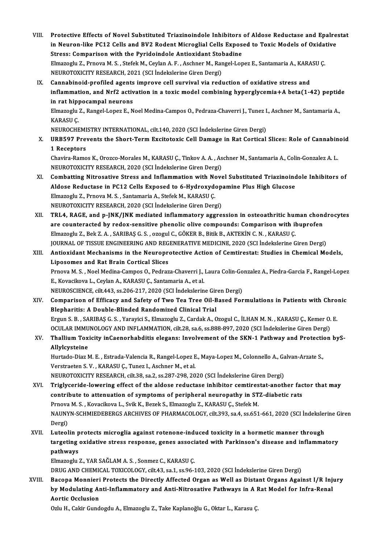- VIII. Protective Effects of Novel Substituted Triazinoindole Inhibitors of Aldose Reductase and Epalrestat<br>in Nouven like PC12 Cells and PV2 Podent Misroglial Cells Eunosed to Touje Models of Ovidative Protective Effects of Novel Substituted Triazinoindole Inhibitors of Aldose Reductase and Epalre<br>in Neuron-like PC12 Cells and BV2 Rodent Microglial Cells Exposed to Toxic Models of Oxidative<br>Stress: Comparison with the Pu Protective Effects of Novel Substituted Triazinoindole Inhibitors<br>in Neuron-like PC12 Cells and BV2 Rodent Microglial Cells Expos<br>Stress: Comparison with the Pyridoindole Antioxidant Stobadine<br>Elmazach: 7. Prnove M. S. Sto in Neuron-like PC12 Cells and BV2 Rodent Microglial Cells Exposed to Toxic Models of Oxidat<br>Stress: Comparison with the Pyridoindole Antioxidant Stobadine<br>Elmazoglu Z., Prnova M. S. , Stefek M., Ceylan A. F. , Aschner M., Stress: Comparison with the Pyridoindole Antioxidant Stol<br>Elmazoglu Z., Prnova M. S. , Stefek M., Ceylan A. F. , Aschner M., Rar<br>NEUROTOXICITY RESEARCH, 2021 (SCI İndekslerine Giren Dergi)<br>Cannabinaid prafilad asants impra NEUROTOXICITY RESEARCH, 2021 (SCI Indekslerine Giren Dergi)<br>IX. Cannabinoid-profiled agents improve cell survival via reduction of oxidative stress and
- NEUROTOXICITY RESEARCH, 2021 (SCI İndekslerine Giren Dergi)<br>Cannabinoid-profiled agents improve cell survival via reduction of oxidative stress and<br>inflammation, and Nrf2 activation in a toxic model combining hyperglycemia Cannabinoid-profiled agents<br>inflammation, and Nrf2 activ<br>in rat hippocampal neurons<br>Elmazogly 7, Bangal Lopez E. N inflammation, and Nrf2 activation in a toxic model combining hyperglycemia+A beta(1-42) peptid<br>in rat hippocampal neurons<br>Elmazoglu Z., Rangel-Lopez E., Noel Medina-Campos O., Pedraza-Chaverri J., Tunez I., Aschner M., San

i<mark>n rat hip]</mark><br>Elmazoglu<br>KARASU Ç.<br>NEUPOCHE Elmazoglu Z., Rangel-Lopez E., Noel Medina-Campos O., Pedraza-Chaverri J., Tunez I<br>KARASU Ç.<br>NEUROCHEMISTRY INTERNATIONAL, cilt.140, 2020 (SCI İndekslerine Giren Dergi)<br>URRE97 Prevents the Shart Term Excitatovic Cell Demag

NEUROCHEMISTRY INTERNATIONAL, cilt.140, 2020 (SCI İndekslerine Giren Dergi)

KARASU Ç.<br>NEUROCHEMISTRY INTERNATIONAL, cilt.140, 2020 (SCI İndekslerine Giren Dergi)<br>X. URB597 Prevents the Short-Term Excitotoxic Cell Damage in Rat Cortical Slices: Role of Cannabinoid<br>1 Receptors URB597 Prevents the Short-Term Excitotoxic Cell Damage in Rat Cortical Slices: Role of Cannabin<br>1 Receptors<br>Chavira-Ramos K., Orozco-Morales M., KARASU Ç., Tinkov A. A. , Aschner M., Santamaria A., Colin-Gonzalez A. L.<br>NEU

1 Receptors<br>Chavira-Ramos K., Orozco-Morales M., KARASU Ç., Tinkov A. A. , As<br>NEUROTOXICITY RESEARCH, 2020 (SCI İndekslerine Giren Dergi)<br>Combatting Nitrocative Strass and Inflammation with Nove Chavira-Ramos K., Orozco-Morales M., KARASU Ç., Tinkov A. A. , Aschner M., Santamaria A., Colin-Gonzalez A. L.<br>NEUROTOXICITY RESEARCH, 2020 (SCI İndekslerine Giren Dergi)<br>XI. Combatting Nitrosative Stress and Inflammation

- NEUROTOXICITY RESEARCH, 2020 (SCI İndekslerine Giren Dergi)<br>Combatting Nitrosative Stress and Inflammation with Novel Substituted Triazinoinc<br>Aldose Reductase in PC12 Cells Exposed to 6-Hydroxydopamine Plus High Glucose<br>El Combatting Nitrosative Stress and Inflammation with No<br>Aldose Reductase in PC12 Cells Exposed to 6-Hydroxyde<br>Elmazoglu Z., Prnova M. S. , Santamaria A., Stefek M., KARASU Ç.<br>NEUPOTOVICITY RESEARCH 2020 (SCL Indekslering Gi Aldose Reductase in PC12 Cells Exposed to 6-Hydroxydopamine Plus High Glucose<br>Elmazoglu Z., Prnova M. S. , Santamaria A., Stefek M., KARASU Ç.<br>NEUROTOXICITY RESEARCH, 2020 (SCI İndekslerine Giren Dergi) Elmazoglu Z., Prnova M. S. , Santamaria A., Stefek M., KARASU Ç.<br>NEUROTOXICITY RESEARCH, 2020 (SCI İndekslerine Giren Dergi)<br>XII. TRL4, RAGE, and p-JNK/JNK mediated inflammatory aggression in osteoathritic human chondr
- NEUROTOXICITY RESEARCH, 2020 (SCI İndekslerine Giren Dergi)<br>TRL4, RAGE, and p-JNK/JNK mediated inflammatory aggression in osteoathritic human chono<br>are counteracted by redox-sensitive phenolic olive compounds: Comparison w TRL4, RAGE, and p-JNK/JNK mediated inflammatory aggression in osteoathritic hur<br>are counteracted by redox-sensitive phenolic olive compounds: Comparison with il<br>Elmazoglu Z., Bek Z. A. , SARIBAŞ G. S. , ozogul C., GÖKER B. are counteracted by redox-sensitive phenolic olive compounds: Comparison with ibuprofen<br>Elmazoglu Z., Bek Z. A. , SARIBAŞ G. S. , ozogul C., GÖKER B., Bitik B., AKTEKİN C. N. , KARASU Ç.<br>JOURNAL OF TISSUE ENGINEERING AND R Elmazoglu Z., Bek Z. A. , SARIBAŞ G. S. , ozogul C., GÖKER B., Bitik B., AKTEKİN C. N. , KARASU Ç.<br>JOURNAL OF TISSUE ENGINEERING AND REGENERATIVE MEDICINE, 2020 (SCI İndekslerine Giren Dergi)<br>XIII. Antioxidant Mechanis
- JOURNAL OF TISSUE ENGINEERING AND REG<br>Antioxidant Mechanisms in the Neuropre<br>Liposomes and Rat Brain Cortical Slices<br>Prnove M.S. Nool Modine Compos Q. Podrar Antioxidant Mechanisms in the Neuroprotective Action of Cemtirestat: Studies in Chemical Models,<br>Liposomes and Rat Brain Cortical Slices<br>Prnova M. S. , Noel Medina-Campos O., Pedraza-Chaverri J., Laura Colin-Gonzalez A., P Liposomes and Rat Brain Cortical Slices<br>Prnova M. S. , Noel Medina-Campos 0., Pedraza-Chaverri J.,<br>E., Kovacikova L., Ceylan A., KARASU Ç., Santamaria A., et al.<br>NEUPOSCIENCE .cilt 442, cs 206, 217, 2020 (SCL Indekslerin Prnova M. S. , Noel Medina-Campos O., Pedraza-Chaverri J., Laura Colin-Go<br>E., Kovacikova L., Ceylan A., KARASU Ç., Santamaria A., et al.<br>NEUROSCIENCE, cilt.443, ss.206-217, 2020 (SCI İndekslerine Giren Dergi)<br>Comparison of E., Kovacikova L., Ceylan A., KARASU Ç., Santamaria A., et al.<br>NEUROSCIENCE, cilt.443, ss.206-217, 2020 (SCI İndekslerine Giren Dergi)<br>XIV. Comparison of Efficacy and Safety of Two Tea Tree Oil-Based Formulations in Patien
- NEUROSCIENCE, cilt.443, ss.206-217, 2020 (SCI İndekslerine Gircomparison of Efficacy and Safety of Two Tea Tree Oil-B<br>Blepharitis: A Double-Blinded Randomized Clinical Trial<br>Fraun S. B., SABIRAS C. S., Varavisi S., Elmanag Comparison of Efficacy and Safety of Two Tea Tree Oil-Based Formulations in Patients with Chro<br>Blepharitis: A Double-Blinded Randomized Clinical Trial<br>Ergun S. B. , SARIBAŞ G. S. , Yarayici S., Elmazoglu Z., Cardak A., Ozo Blepharitis: A Double-Blinded Randomized Clinical Trial<br>Ergun S. B. , SARIBAŞ G. S. , Yarayici S., Elmazoglu Z., Cardak A., Ozogul C., İLHAN M. N. , KARASU Ç., Kemer O<br>OCULAR IMMUNOLOGY AND INFLAMMATION, cilt.28, sa.6, ss. Ergun S. B. , SARIBAŞ G. S. , Yarayici S., Elmazoglu Z., Cardak A., Ozogul C., İLHAN M. N. , KARASU Ç., Kemer O. E.<br>OCULAR IMMUNOLOGY AND INFLAMMATION, cilt.28, sa.6, ss.888-897, 2020 (SCI İndekslerine Giren Dergi)<br>XV.

# OCULAR IMMU<br>Thallium Tox<br>Allylcysteine<br><sup>Huntodo</sup> Diar N Thallium Toxicity inCaenorhabditis elegans: Involvement of the SKN-1 Pathway and Protection<br>Allylcysteine<br>Hurtado-Diaz M. E. , Estrada-Valencia R., Rangel-Lopez E., Maya-Lopez M., Colonnello A., Galvan-Arzate S.,<br>Verstreet

Allylcysteine<br>Hurtado-Diaz M. E. , Estrada-Valencia R., Rangel-Lopez E<br>Verstraeten S. V. , KARASU Ç., Tunez I., Aschner M., et al.<br>NEUPOTOVICITY PESEARCH, silt 38, ss 3, ss 387, 308, 30 Hurtado-Diaz M. E. , Estrada-Valencia R., Rangel-Lopez E., Maya-Lopez M., Colonnello A., Ga<br>Verstraeten S. V. , KARASU Ç., Tunez I., Aschner M., et al.<br>NEUROTOXICITY RESEARCH, cilt.38, sa.2, ss.287-298, 2020 (SCI İndeksler

- Verstraeten S. V. , KARASU Ç., Tunez I., Aschner M., et al.<br>NEUROTOXICITY RESEARCH, cilt.38, sa.2, ss.287-298, 2020 (SCI İndekslerine Giren Dergi)<br>XVI. Triglyceride-lowering effect of the aldose reductase inhibitor cem NEUROTOXICITY RESEARCH, cilt.38, sa.2, ss.287-298, 2020 (SCI Indekslerine Giren Dergi)<br>Triglyceride-lowering effect of the aldose reductase inhibitor cemtirestat-another factor contribute to attenuation of symptoms of peri Triglyceride-lowering effect of the aldose reductase inhibitor cemtires<br>contribute to attenuation of symptoms of peripheral neuropathy in ST<br>Prnova M. S., Kovacikova L., Svik K., Bezek S., Elmazoglu Z., KARASU Ç., Stefek M contribute to attenuation of symptoms of peripheral neuropathy in STZ-diabetic rats<br>Prnova M. S. , Kovacikova L., Svik K., Bezek S., Elmazoglu Z., KARASU Ç., Stefek M.<br>NAUNYN-SCHMIEDEBERGS ARCHIVES OF PHARMACOLOGY, cilt.39 Prnova<br>NAUNY<br>Dergi)<br>Luteel NAUNYN-SCHMIEDEBERGS ARCHIVES OF PHARMACOLOGY, cilt.393, sa.4, ss.651-661, 2020 (SCI Indeksler<br>Dergi)<br>XVII. Luteolin protects microglia against rotenone-induced toxicity in a hormetic manner through<br>tagacting avidative str
- Dergi)<br>Luteolin protects microglia against rotenone-induced toxicity in a hormetic manner through<br>targeting oxidative stress response, genes associated with Parkinson's disease and inflammatory<br>pathways Luteolin p<br>targeting<br>pathways<br>Elmazoclu targeting oxidative stress response, genes associated with Parkinson's disease and inflammatory<br>pathways<br>Elmazoglu Z., YAR SAĞLAM A. S. , Sonmez C., KARASU Ç.

DRUG AND CHEMICAL TOXICOLOGY, cilt.43, sa.1, ss.96-103, 2020 (SCI İndekslerine Giren Dergi)

Elmazoglu Z., YAR SAĞLAM A. S. , Sonmez C., KARASU Ç.<br>DRUG AND CHEMICAL TOXICOLOGY, cilt.43, sa.1, ss.96-103, 2020 (SCI İndekslerine Giren Dergi)<br>XVIII. Bacopa Monnieri Protects the Directly Affected Organ as Well as Dista DRUG AND CHEMICAL TOXICOLOGY, cilt.43, sa.1, ss.96-103, 2020 (SCI İndekslerine Giren Dergi)<br>Bacopa Monnieri Protects the Directly Affected Organ as Well as Distant Organs Against I/R Inj<br>by Modulating Anti-Inflammatory and Bacopa Monnieri<br>by Modulating Ar<br>Aortic Occlusion<br>Orlu H. Colin Cund by Modulating Anti-Inflammatory and Anti-Nitrosative Pathways in A Rat Model for Infra-Renal<br>Aortic Occlusion<br>Ozlu H., Cakir Gundogdu A., Elmazoglu Z., Take Kaplanoğlu G., Oktar L., Karasu Ç.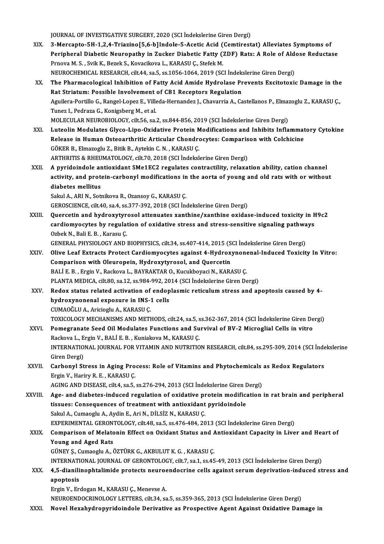JOURNAL OF INVESTIGATIVE SURGERY, 2020 (SCI İndekslerine Giren Dergi)

- XIX. 3-Mercapto-5H-1,2,4-Triazino[5,6-b]Indole-5-Acetic Acid (Cemtirestat) Alleviates Symptoms of JOURNAL OF INVESTIGATIVE SURGERY, 2020 (SCI İndekslerine Giren Dergi)<br>3-Mercapto-5H-1,2,4-Triazino[5,6-b]Indole-5-Acetic Acid (Cemtirestat) Alleviates Symptoms of<br>Peripheral Diabetic Neuropathy in Zucker Diabetic Fatty (ZD 3-Mercapto-5H-1,2,4-Triazino[5,6-b]Indole-5-Acetic Acid (<br>Peripheral Diabetic Neuropathy in Zucker Diabetic Fatty ()<br>Prnova M. S. , Svik K., Bezek S., Kovacikova L., KARASU Ç., Stefek M.<br>NEUPOCHEMICAL PESEARCH sit 44 se 5 Peripheral Diabetic Neuropathy in Zucker Diabetic Fatty (ZDF) Rats: A Role of Ald<br>Prnova M. S. , Svik K., Bezek S., Kovacikova L., KARASU Ç., Stefek M.<br>NEUROCHEMICAL RESEARCH, cilt.44, sa.5, ss.1056-1064, 2019 (SCI İndeksl Prnova M. S. , Svik K., Bezek S., Kovacikova L., KARASU Ç., Stefek M.<br>NEUROCHEMICAL RESEARCH, cilt.44, sa.5, ss.1056-1064, 2019 (SCI İndekslerine Giren Dergi)<br>XX. The Pharmacological Inhibition of Fatty Acid Amide Hydr NEUROCHEMICAL RESEARCH, cilt.44, sa.5, ss.1056-1064, 2019 (SCI Indekslerine Giren Dergi)
- Aguilera-Portillo G., Rangel-Lopez E., Villeda-Hernandez J., Chavarria A., Castellanos P., Elmazoglu Z., KARASU Ç.,<br>Tunez I., Pedraza G., Konigsberg M., et al. Rat Striatum: Possible Involvement of CB1 Receptors Regulation Aguilera-Portillo G., Rangel-Lopez E., Villeda-Hernandez J., Chavarria A., Castellanos P., Elma:<br>Tunez I., Pedraza G., Konigsberg M., et al.<br>MOLECULAR NEUROBIOLOGY, cilt.56, sa.2, ss.844-856, 2019 (SCI İndekslerine Giren D Tunez I., Pedraza G., Konigsberg M., et al.<br>MOLECULAR NEUROBIOLOGY, cilt.56, sa.2, ss.844-856, 2019 (SCI İndekslerine Giren Dergi)<br>XXI. Luteolin Modulates Glyco-Lipo-Oxidative Protein Modifications and Inhibits Inflamm
- MOLECULAR NEUROBIOLOGY, cilt.56, sa.2, ss.844-856, 2019 (SCI İndekslerine Giren Dergi)<br>Luteolin Modulates Glyco-Lipo-Oxidative Protein Modifications and Inhibits Inflammat<br>Release in Human Osteoarthritic Articular Chondroc Luteolin Modulates Glyco-Lipo-Oxidative Protein M<br>Release in Human Osteoarthritic Articular Chondre<br>GÖKER B., Elmazoglu Z., Bitik B., Aytekin C.N. , KARASU Ç.<br>APTUPITIS & PUEUMATOLOCY sil: 70, 2019 (SCL Indeksl Release in Human Osteoarthritic Articular Chondrocytes: Comparison with Colchicine<br>GÖKER B., Elmazoglu Z., Bitik B., Aytekin C. N. , KARASU Ç.<br>ARTHRITIS & RHEUMATOLOGY, cilt.70, 2018 (SCI İndekslerine Giren Dergi) GÖKER B., Elmazoglu Z., Bitik B., Aytekin C. N. , KARASU Ç.<br>ARTHRITIS & RHEUMATOLOGY, cilt.70, 2018 (SCI İndekslerine Giren Dergi)<br>XXII. A pyridoindole antioxidant SMe1EC2 regulates contractility, relaxation ability, catio
- ARTHRITIS & RHEUMATOLOGY, cilt.70, 2018 (SCI İndekslerine Giren Dergi)<br>A pyridoindole antioxidant SMe1EC2 regulates contractility, relaxation ability, cation channel<br>activity, and protein-carbonyl modifications in the aort A pyridoindole ar<br>activity, and prote<br>diabetes mellitus<br>Selvi A API N. Set activity, and protein-carbonyl modifications in<br>diabetes mellitus<br>Sakul A., ARI N., Sotnikova R., Ozansoy G., KARASU Ç.<br>GEROSCIENCE. silt 40. 88.4. 88.277.202.2019 (SCL İnc diabetes mellitus<br>Sakul A., ARI N., Sotnikova R., Ozansoy G., KARASU Ç.<br>GEROSCIENCE, cilt.40, sa.4, ss.377-392, 2018 (SCI İndekslerine Giren Dergi)

Sakul A., ARI N., Sotnikova R., Ozansoy G., KARASU Ç.<br>GEROSCIENCE, cilt.40, sa.4, ss.377-392, 2018 (SCI İndekslerine Giren Dergi)<br>XXIII. Quercetin and hydroxytyrosol attenuates xanthine/xanthine oxidase-induced toxicity in GEROSCIENCE, cilt.40, sa.4, ss.377-392, 2018 (SCI İndekslerine Giren Dergi)<br>Quercetin and hydroxytyrosol attenuates xanthine/xanthine oxidase-induced toxicity in F<br>cardiomyocytes by regulation of oxidative stress and stres Quercetin and hydroxytyr<br>cardiomyocytes by regulat<br>Ozbek N., Bali E. B. , Karasu Ç.<br>CENERAL PHYSIOLOCY AND cardiomyocytes by regulation of oxidative stress and stress-sensitive signaling pathwa<br>Ozbek N., Bali E. B. , Karasu Ç.<br>GENERAL PHYSIOLOGY AND BIOPHYSICS, cilt.34, ss.407-414, 2015 (SCI İndekslerine Giren Dergi)<br>Olive Leaf

- Ozbek N., Bali E. B. , Karasu Ç.<br>GENERAL PHYSIOLOGY AND BIOPHYSICS, cilt.34, ss.407-414, 2015 (SCI İndekslerine Giren Dergi)<br>XXIV. Olive Leaf Extracts Protect Cardiomyocytes against 4-Hydroxynonenal-Induced Toxicity In Vit GENERAL PHYSIOLOGY AND BIOPHYSICS, cilt.34, ss.407-414, 2015 (S<br>Olive Leaf Extracts Protect Cardiomyocytes against 4-Hydroxy<br>Comparison with Oleuropein, Hydroxytyrosol, and Quercetin<br>PALLE P., Ergin V., Backave L., PAYPAKT Olive Leaf Extracts Protect Cardiomyocytes against 4-Hydroxynone<br>Comparison with Oleuropein, Hydroxytyrosol, and Quercetin<br>BALİ E. B. , Ergin V., Rackova L., BAYRAKTAR O., Kucukboyaci N., KARASU Ç.<br>BLANTA MEDICA .gilt 80, Comparison with Oleuropein, Hydroxytyrosol, and Quercetin<br>BALİ E. B. , Ergin V., Rackova L., BAYRAKTAR O., Kucukboyaci N., KARASU Ç.<br>PLANTA MEDICA, cilt.80, sa.12, ss.984-992, 2014 (SCI İndekslerine Giren Dergi)
- XXV. Redox status related activation of endoplasmic reticulumstress and apoptosis caused by 4- PLANTA MEDICA, cilt.80, sa.12, ss.984-992, 20<br>Redox status related activation of endop<br>hydroxynonenal exposure in INS-1 cells<br>CUMAQČUJA, Arigiagly A, KARASU C Redox status related activation of<br>hydroxynonenal exposure in INS-:<br>CUMAOĞLU A., Aricioglu A., KARASU Ç.<br>TOVICOLOCY MECHANISMS AND METI CUMAOĞLU A., Aricioglu A., KARASU Ç.<br>TOXICOLOGY MECHANISMS AND METHODS, cilt.24, sa.5, ss.362-367, 2014 (SCI İndekslerine Giren Dergi) CUMAOĞLU A., Aricioglu A., KARASU Ç.<br>TOXICOLOGY MECHANISMS AND METHODS, cilt.24, sa.5, ss.362-367, 2014 (SCI İndekslerine Giren De<br>XXVI. Pomegranate Seed Oil Modulates Functions and Survival of BV-2 Microglial Cells in vit
- TOXICOLOGY MECHANISMS AND METHODS, cilt.24, sa.5, s<br>Pomegranate Seed Oil Modulates Functions and Su<br>Rackova L., Ergin V., BALİ E. B. , Kuniakova M., KARASU Ç.<br>INTERNATIONAL JOURNAL EOR VITAMIN AND NUTRITIO INTERNATIONAL JOURNAL FOR VITAMIN AND NUTRITION RESEARCH, cilt.84, ss.295-309, 2014 (SCI İndekslerine<br>Giren Dergi) Rackova L., Ergin V., BALİ E. B., Kuniakova M., KARASU C. INTERNATIONAL JOURNAL FOR VITAMIN AND NUTRITION RESEARCH, cilt.84, ss.295-309, 2014 (SCI Inde<br>Giren Dergi)<br>XXVII. Carbonyl Stress in Aging Process: Role of Vitamins and Phytochemicals as Redox Regulators<br>Frgin V. Horiny B.
- Giren Dergi)<br>Carbonyl Stress in Aging Pro<br>Ergin V., Hariry R. E. , KARASU Ç.<br>ACINC AND DISEASE silt4 SP E Carbonyl Stress in Aging Process: Role of Vitamins and Phytochemicals<br>Ergin V., Hariry R. E., KARASU Ç.<br>AGING AND DISEASE, cilt.4, sa.5, ss.276-294, 2013 (SCI İndekslerine Giren Dergi)<br>Age, and diabetes induced regulation

Ergin V., Hariry R. E. , KARASU C.<br>AGING AND DISEASE, cilt4, sa.5, ss.276-294, 2013 (SCI İndekslerine Giren Dergi)<br>XXVIII. Age- and diabetes-induced regulation of oxidative protein modification in rat brain and peripheral<br> AGING AND DISEASE, cilt4, sa.5, ss.276-294, 2013 (SCI İndekslerine Giren I<br>Age- and diabetes-induced regulation of oxidative protein modificatissues: Consequences of treatment with antioxidant pyridoindole<br>Sakul A. Cumasgl Sakul A., Cumaoglu A., Aydin E., Ari N., DİLSİZ N., KARASU Ç. EXPERIMENTALGERONTOLOGY, cilt.48, sa.5, ss.476-484,2013 (SCI İndekslerineGirenDergi) Sakul A., Cumaoglu A., Aydin E., Ari N., DİLSİZ N., KARASU Ç.<br>EXPERIMENTAL GERONTOLOGY, cilt.48, sa.5, ss.476-484, 2013 (SCI İndekslerine Giren Dergi)<br>XXIX. Comparison of Melatonin Effect on Oxidant Status and Antioxid

# EXPERIMENTAL GERONT<br>Comparison of Melato<br>Young and Aged Rats Comparison of Melatonin Effect on Oxidant Status and A<br>Young and Aged Rats<br>GÜNEY Ş., Cumaoglu A., ÖZTÜRK G., AKBULUT K. G. , KARASU Ç.<br>INTERNATIONAL JOURNAL OF CERONTOLOCY si<sup>157, 89</sub>.1, 89.45</sup> Young and Aged Rats<br>GÜNEY Ş., Cumaoglu A., ÖZTÜRK G., AKBULUT K. G. , KARASU Ç.<br>INTERNATIONAL JOURNAL OF GERONTOLOGY, cilt.7, sa.1, ss.45-49, 2013 (SCI İndekslerine Giren Dergi)<br>4.5. dianilinenhtelimide pretests neureendes

GÜNEY Ș., Cumaoglu A., ÖZTÜRK G., AKBULUT K. G. , KARASU Ç.<br>INTERNATIONAL JOURNAL OF GERONTOLOGY, cilt.7, sa.1, ss.45-49, 2013 (SCI İndekslerine Giren Dergi)<br>XXX. 4,5-dianilinophtalimide protects neuroendocrine cells a INTERNATI<br>4,5-dianili<br>apoptosis<br>Ergin V. En 4,5-dianilinophtalimide protects neuroe<br>apoptosis<br>Ergin V., Erdogan M., KARASU Ç., Menevse A.<br>NEUROENDOCRINOLOCY LETTERS silt 34, se apoptosis<br>Ergin V., Erdogan M., KARASU Ç., Menevse A.<br>NEUROENDOCRINOLOGY LETTERS, cilt.34, sa.5, ss.359-365, 2013 (SCI İndekslerine Giren Dergi)

XXXI. Novel Hexahydropyridoindole Derivative as Prospective Agent Against Oxidative Damage in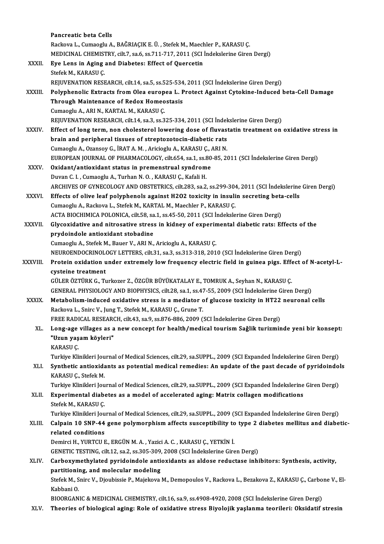|              | Pancreatic beta Cells                                                                                               |
|--------------|---------------------------------------------------------------------------------------------------------------------|
|              | Rackova L., Cumaoglu A., BAĞRIAÇIK E. Ü., Stefek M., Maechler P., KARASU Ç.                                         |
|              | MEDICINAL CHEMISTRY, cilt.7, sa.6, ss.711-717, 2011 (SCI Indekslerine Giren Dergi)                                  |
| XXXII.       | Eye Lens in Aging and Diabetes: Effect of Quercetin                                                                 |
|              | Stefek M., KARASU Ç.                                                                                                |
|              | REJUVENATION RESEARCH, cilt.14, sa.5, ss.525-534, 2011 (SCI Indekslerine Giren Dergi)                               |
| XXXIII.      | Polyphenolic Extracts from Olea europea L. Protect Against Cytokine-Induced beta-Cell Damage                        |
|              | Through Maintenance of Redox Homeostasis                                                                            |
|              | Cumaoglu A., ARI N., KARTAL M., KARASU Ç.                                                                           |
|              | REJUVENATION RESEARCH, cilt.14, sa.3, ss.325-334, 2011 (SCI Indekslerine Giren Dergi)                               |
| <b>XXXIV</b> | Effect of long term, non cholesterol lowering dose of fluvastatin treatment on oxidative stress in                  |
|              | brain and peripheral tissues of streptozotocin-diabetic rats                                                        |
|              | Cumaoglu A., Ozansoy G., İRAT A. M., Aricioglu A., KARASU Ç., ARI N.                                                |
|              | EUROPEAN JOURNAL OF PHARMACOLOGY, cilt.654, sa.1, ss.80-85, 2011 (SCI İndekslerine Giren Dergi)                     |
| <b>XXXV</b>  | Oxidant/antioxidant status in premenstrual syndrome                                                                 |
|              | Duvan C. I., Cumaoglu A., Turhan N. O., KARASU Ç., Kafali H.                                                        |
|              | ARCHIVES OF GYNECOLOGY AND OBSTETRICS, cilt.283, sa.2, ss.299-304, 2011 (SCI İndekslerine Giren Dergi)              |
| XXXVI.       | Effects of olive leaf polyphenols against H2O2 toxicity in insulin secreting beta-cells                             |
|              | Cumaoglu A., Rackova L., Stefek M., KARTAL M., Maechler P., KARASU Ç.                                               |
|              | ACTA BIOCHIMICA POLONICA, cilt.58, sa.1, ss.45-50, 2011 (SCI Indekslerine Giren Dergi)                              |
| XXXVII.      | Glycoxidative and nitrosative stress in kidney of experimental diabetic rats: Effects of the                        |
|              | prydoindole antioxidant stobadine                                                                                   |
|              | Cumaoglu A., Stefek M., Bauer V., ARI N., Aricioglu A., KARASU Ç.                                                   |
|              | NEUROENDOCRINOLOGY LETTERS, cilt.31, sa.3, ss.313-318, 2010 (SCI İndekslerine Giren Dergi)                          |
| XXXVIII.     | Protein oxidation under extremely low frequency electric field in guinea pigs. Effect of N-acetyl-L-                |
|              | cysteine treatment                                                                                                  |
|              | GÜLER ÖZTÜRK G., Turkozer Z., ÖZGÜR BÜYÜKATALAY E., TOMRUK A., Seyhan N., KARASU Ç.                                 |
|              | GENERAL PHYSIOLOGY AND BIOPHYSICS, cilt.28, sa.1, ss.47-55, 2009 (SCI İndekslerine Giren Dergi)                     |
| <b>XXXIX</b> | Metabolism-induced oxidative stress is a mediator of glucose toxicity in HT22 neuronal cells                        |
|              | Rackova L., Snirc V., Jung T., Stefek M., KARASU Ç., Grune T.                                                       |
|              | FREE RADICAL RESEARCH, cilt.43, sa.9, ss.876-886, 2009 (SCI Indekslerine Giren Dergi)                               |
| XL.          | Long-age villages as a new concept for health/medical tourism Sağlik turizminde yeni bir konsept:                   |
|              | "Uzun yaşam köyleri"                                                                                                |
|              | KARASU Ç                                                                                                            |
|              | Turkiye Klinikleri Journal of Medical Sciences, cilt.29, sa.SUPPL., 2009 (SCI Expanded İndekslerine Giren Dergi)    |
| XLI.         | Synthetic antioxidants as potential medical remedies: An update of the past decade of pyridoindols                  |
|              | KARASU Ç., Stefek M.                                                                                                |
|              | Turkiye Klinikleri Journal of Medical Sciences, cilt.29, sa.SUPPL., 2009 (SCI Expanded İndekslerine Giren Dergi)    |
| XLII.        | Experimental diabetes as a model of accelerated aging: Matrix collagen modifications                                |
|              | Stefek M., KARASU Ç                                                                                                 |
|              | Turkiye Klinikleri Journal of Medical Sciences, cilt.29, sa.SUPPL., 2009 (SCI Expanded İndekslerine Giren Dergi)    |
| XLIII.       | Calpain 10 SNP-44 gene polymorphism affects susceptibility to type 2 diabetes mellitus and diabetic-                |
|              | related conditions                                                                                                  |
|              | Demirci H., YURTCU E., ERGÜN M. A., Yazici A. C., KARASU Ç., YETKİN İ.                                              |
|              | GENETIC TESTING, cilt.12, sa.2, ss.305-309, 2008 (SCI Indekslerine Giren Dergi)                                     |
| XLIV.        | Carboxymethylated pyridoindole antioxidants as aldose reductase inhibitors: Synthesis, activity,                    |
|              | partitioning, and molecular modeling                                                                                |
|              | Stefek M., Snirc V., Djoubissie P., Majekova M., Demopoulos V., Rackova L., Bezakova Z., KARASU Ç., Carbone V., El- |
|              | Kabbani O.                                                                                                          |
|              | BIOORGANIC & MEDICINAL CHEMISTRY, cilt.16, sa.9, ss.4908-4920, 2008 (SCI Indekslerine Giren Dergi)                  |
| XLV.         | Theories of biological aging: Role of oxidative stress Biyolojik yaşlanma teorileri: Oksidatif stresin              |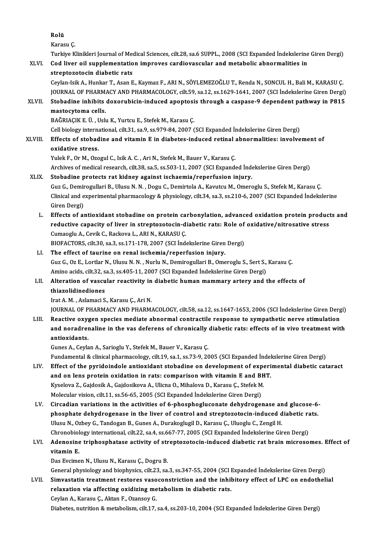Rolü Karasu<sub>Ç</sub>. Turkiye Klinikleri Journal of Medical Sciences, cilt.28, sa.6 SUPPL., 2008 (SCI Expanded İndekslerine Giren Dergi) Karasu Ç.<br>Turkiye Klinikleri Journal of Medical Sciences, cilt.28, sa.6 SUPPL., 2008 (SCI Expanded İndekslerine<br>XLVI. Cod liver oil supplementation improves cardiovascular and metabolic abnormalities in<br> Turkiye Klinikleri Journal of Med<br>Cod liver oil supplementatio<br>streptozotocin diabetic rats<br>Cevlan Jeik A. Hunkar T. Asan E Cod liver oil supplementation improves cardiovascular and metabolic abnormalities in<br>streptozotocin diabetic rats<br>Ceylan-Isik A., Hunkar T., Asan E., Kaymaz F., ARI N., SÖYLEMEZOĞLU T., Renda N., SONCUL H., Bali M., KARASU streptozotocin diabetic rats<br>Ceylan-Isik A., Hunkar T., Asan E., Kaymaz F., ARI N., SÖYLEMEZOĞLU T., Renda N., SONCUL H., Bali M., KARASU Ç<br>JOURNAL OF PHARMACY AND PHARMACOLOGY, cilt.59, sa.12, ss.1629-1641, 2007 (SCI İnde Ceylan-Isik A., Hunkar T., Asan E., Kaymaz F., ARI N., SÖYLEMEZOĞLU T., Renda N., SONCUL H., Bali M., KARASU Ç.<br>JOURNAL OF PHARMACY AND PHARMACOLOGY, cilt.59, sa.12, ss.1629-1641, 2007 (SCI İndekslerine Giren Dergi)<br>XLVII. JOURNAL OF PHARMACY AND PHARMACOLOGY, cilt.59, sa.12, ss.1629-1641, 2007 (SCI İndekslerine Giren Dergi)<br>Stobadine inhibits doxorubicin-induced apoptosis through a caspase-9 dependent pathway in P815<br>mastocytoma cells. BAĞRIAÇIK E. Ü., Uslu K., Yurtcu E., Stefek M., Karasu Ç. mastocytoma cells.<br>BAĞRIAÇIK E. Ü. , Uslu K., Yurtcu E., Stefek M., Karasu Ç.<br>Cell biology international, cilt.31, sa.9, ss.979-84, 2007 (SCI Expanded İndekslerine Giren Dergi)<br>Effects of stebedine and uitemin E in diebete XLVIII. Effects of stobadine and vitamin E in diabetes-induced retinal abnormalities: involvement of oxidative stress. Cell biology interna<br>Effects of stobad<br>oxidative stress.<br>Yulek E. Or M. Ozo Yulek F., Or M., Ozogul C., Isik A. C., Ari N., Stefek M., Bauer V., Karasu Ç. Archives of medical research, cilt.38, sa.5, ss.503-11, 2007 (SCI Expanded İndekslerine Giren Dergi) XLIX. Stobadine protects rat kidney against ischaemia/reperfusion injury. Guz G., Demirogullari B., Ulusu N. N., Dogu C., Demirtola A., Kavutcu M., Omeroglu S., Stefek M., Karasu C. Stobadine protects rat kidney against ischaemia/reperfusion injury.<br>Guz G., Demirogullari B., Ulusu N. N. , Dogu C., Demirtola A., Kavutcu M., Omeroglu S., Stefek M., Karasu Ç.<br>Clinical and experimental pharmacology & phys Guz G., Demir<br>Clinical and e<br>Giren Dergi)<br>Effecte of al Clinical and experimental pharmacology & physiology, cilt.34, sa.3, ss.210-6, 2007 (SCI Expanded Indekslerine<br>Giren Dergi)<br>L. Effects of antioxidant stobadine on protein carbonylation, advanced oxidation protein products a

Giren Dergi)<br>Effects of antioxidant stobadine on protein carbonylation, advanced oxidation protein product<br>reductive capacity of liver in streptozotocin-diabetic rats: Role of oxidative/nitrosative stress<br>Sumaegly A. Covik Effects of antioxidant stobadine on protein cannot reductive capacity of liver in streptozotocin-d<br>Cumaoglu A., Cevik C., Rackova L., ARI N., KARASU C.<br>PIOEACTOPS silt 20. sp.2, ss.171,179,2007 (SCL had reductive capacity of liver in streptozotocin-diabetic rats: Role of<br>Cumaoglu A., Cevik C., Rackova L., ARI N., KARASU Ç.<br>BIOFACTORS, cilt.30, sa.3, ss.171-178, 2007 (SCI İndekslerine Giren Dergi)<br>The effect of taurine en Cumaoglu A., Cevik C., Rackova L., ARI N., KARASU Ç.<br>BIOFACTORS, cilt.30, sa.3, ss.171-178, 2007 (SCI İndekslerine Giren<br>LI. The effect of taurine on renal ischemia/reperfusion injury.<br>Cuz C. Oz E. Lortlar N. Husu N. N. Nu

# BIOFACTORS, cilt.30, sa.3, ss.171-178, 2007 (SCI İndekslerine Giren Dergi)<br>The effect of taurine on renal ischemia/reperfusion injury.<br>Guz G., Oz E., Lortlar N., Ulusu N. N. , Nurlu N., Demirogullari B., Omeroglu S., Sert The effect of taurine on renal ischemia/reperfusion injury.<br>Guz G., Oz E., Lortlar N., Ulusu N. N. , Nurlu N., Demirogullari B., Omeroglu S., Sert S.,<br>Amino acids, cilt.32, sa.3, ss.405-11, 2007 (SCI Expanded İndekslerine Guz G., Oz E., Lortlar N., Ulusu N. N. , Nurlu N., Demirogullari B., Omeroglu S., Sert S., Karasu Ç.<br>Amino acids, cilt.32, sa.3, ss.405-11, 2007 (SCI Expanded Indekslerine Giren Dergi)<br>LII. Alteration of vascular reactivit

Amino acids, cilt.32, sa.3, ss.405-11, 2007 (SCI Expanded Indekslerine Giren Dergi)<br>Alteration of vascular reactivity in diabetic human mammary artery and the effects of<br>thiazolidinediones

Irat A.M., Aslamaci S., Karasu Ç., Ari N.

thiazolidinediones<br>Irat A. M. , Aslamaci S., Karasu Ç., Ari N.<br>JOURNAL OF PHARMACY AND PHARMACOLOGY, cilt.58, sa.12, ss.1647-1653, 2006 (SCI İndekslerine Giren Dergi)<br>Reastive exusen spesies modiate abnormal sentrestile re

Irat A. M. , Aslamaci S., Karasu Ç., Ari N.<br>JOURNAL OF PHARMACY AND PHARMACOLOGY, cilt.58, sa.12, ss.1647-1653, 2006 (SCI İndekslerine Giren Derg<br>LIII. Reactive oxygen species mediate abnormal contractile response to sympa JOURNAL OF PHARMACY AND PHARMACOLOGY, cilt.58, sa.12, ss.1647-1653, 2006 (SCI İndekslerine Giren Dergi)<br>Reactive oxygen species mediate abnormal contractile response to sympathetic nerve stimulation<br>and noradrenaline in th Reactive oxy<br>and noradren<br>antioxidants. and noradrenaline in the vas deferens of chronically<br>antioxidants.<br>Gunes A., Ceylan A., Sarioglu Y., Stefek M., Bauer V., Karasu Ç.<br>Eundemental & clinical phermasology silt 10, 89, 1, 85, 73, 0, 26 antioxidants.<br>Gunes A., Ceylan A., Sarioglu Y., Stefek M., Bauer V., Karasu Ç.<br>Fundamental & clinical pharmacology, cilt.19, sa.1, ss.73-9, 2005 (SCI Expanded İndekslerine Giren Dergi)<br>Effect of the purideindele antioxidan

- Gunes A., Ceylan A., Sarioglu Y., Stefek M., Bauer V., Karasu Ç.<br>Fundamental & clinical pharmacology, cilt.19, sa.1, ss.73-9, 2005 (SCI Expanded Indekslerine Giren Dergi)<br>LIV. Effect of the pyridoindole antioxidant stobadi Fundamental & clinical pharmacology, cilt.19, sa.1, ss.73-9, 2005 (SCI Expanded Indel<br>Effect of the pyridoindole antioxidant stobadine on development of experi<br>and on lens protein oxidation in rats: comparison with vitamin Effect of the pyridoindole antioxidant stobadine on development of experient of the protein oxidation in rats: comparison with vitamin E and BH Kyselova Z., Gajdosik A., Gajdosikova A., Ulicna O., Mihalova D., Karasu Ç., S and on lens protein oxidation in rats: comparison with vitamin E and Bl<br>Kyselova Z., Gajdosik A., Gajdosikova A., Ulicna O., Mihalova D., Karasu Ç., Stefek M<br>Molecular vision, cilt.11, ss.56-65, 2005 (SCI Expanded İndeksle
- Molecular vision, cilt.11, ss.56-65, 2005 (SCI Expanded Indekslerine Giren Dergi)<br>LV. Circadian variations in the activities of 6-phosphogluconate dehydrogenase and glucose-6-Molecular vision, cilt.11, ss.56-65, 2005 (SCI Expanded Indekslerine Giren Dergi)<br>Circadian variations in the activities of 6-phosphogluconate dehydrogenase and glucose-6-<br>phosphate dehydrogenase in the liver of control an Circadian variations in the activities of 6-phosphogluconate dehydrogenase an<br>phosphate dehydrogenase in the liver of control and streptozotocin-induced d<br>Ulusu N., Ozbey G., Tandogan B., Gunes A., Durakoglugil D., Karasu phosphate dehydrogenase in the liver of control and streptozotocin-induced diabetic ra<br>Ulusu N., Ozbey G., Tandogan B., Gunes A., Durakoglugil D., Karasu Ç., Uluoglu C., Zengil H.<br>Chronobiology international, cilt.22, sa.4 Ulusu N., Ozbey G., Tandogan B., Gunes A., Durakoglugil D., Karasu Ç., Uluoglu C., Zengil H.<br>Chronobiology international, cilt.22, sa.4, ss.667-77, 2005 (SCI Expanded Indekslerine Giren Dergi)<br>LVI. Adenosine triphosphatase
- Chronobiology international, cilt.22, sa.4, ss.667-77, 2005 (SCI Expanded Indekslerine Giren Dergi)<br>Adenosine triphosphatase activity of streptozotocin-induced diabetic rat brain microso<br>vitamin E.<br>Das Evcimen N., Ulusu N. Adenosine triphosphatase activity of str<br>vitamin E.<br>Das Evcimen N., Ulusu N., Karasu Ç., Dogru B.<br>Coneral physiology and biophysics, silt 22, 83.

General physiology and biophysics, cilt.23, sa.3, ss.347-55, 2004 (SCI Expanded Indekslerine Giren Dergi)

Das Evcimen N., Ulusu N., Karasu Ç., Dogru B.<br>General physiology and biophysics, cilt.23, sa.3, ss.347-55, 2004 (SCI Expanded Indekslerine Giren Dergi)<br>LVII. Simvastatin treatment restores vasoconstriction and the inhibito General physiology and biophysics, cilt.23, sa.3, ss.347-55, 2004 (SCI I<br>Simvastatin treatment restores vasoconstriction and the inhil<br>relaxation via affecting oxidizing metabolism in diabetic rats.<br>Caylan A. Karasy C. Alt Simvastatin treatment restores vaso<br>relaxation via affecting oxidizing me<br>Ceylan A., Karasu Ç., Aktan F., Ozansoy G.<br>Dishates putrition & mataboliam silt 17. relaxation via affecting oxidizing metabolism in diabetic rats.<br>Ceylan A., Karasu Ç., Aktan F., Ozansoy G.<br>Diabetes, nutrition & metabolism, cilt.17, sa.4, ss.203-10, 2004 (SCI Expanded İndekslerine Giren Dergi)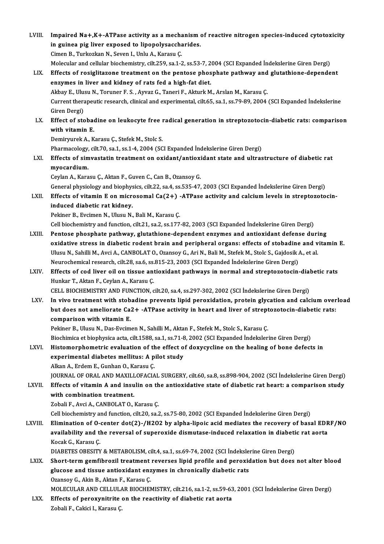LVIII. Impaired Na+,K+-ATPase activity as a mechanism of reactive nitrogen species-induced cytotoxicity<br>in guines nig liver expeced to linepelysessberides Impaired Na+,K+-ATPase activity as a mechanism<br>in guinea pig liver exposed to lipopolysaccharides.<br>Cimer B. Turkerkar N. Savan L. Unlu A. Karagu C. Impaired Na+,K+-ATPase activity as a mecha<br>in guinea pig liver exposed to lipopolysaccha<br>Cimen B., Turkozkan N., Seven I., Unlu A., Karasu Ç.<br>Malagular and sallular bioshamistwy silt 250 sa 1 2 in guinea pig liver exposed to lipopolysaccharides.<br>Cimen B., Turkozkan N., Seven I., Unlu A., Karasu Ç.<br>Molecular and cellular biochemistry, cilt.259, sa.1-2, ss.53-7, 2004 (SCI Expanded İndekslerine Giren Dergi)<br>Effects Cimen B., Turkozkan N., Seven I., Unlu A., Karasu Ç.<br>Molecular and cellular biochemistry, cilt.259, sa.1-2, ss.53-7, 2004 (SCI Expanded Indekslerine Giren Dergi)<br>LIX. Effects of rosiglitazone treatment on the pentose phosp Molecular and cellular biochemistry, cilt.259, sa.1-2, ss.53-7, 2<br>Effects of rosiglitazone treatment on the pentose phos<br>enzymes in liver and kidney of rats fed a high-fat diet.<br>Althou E. Hugu N. Torunor E.S., Aurer C. Ton Effects of rosiglitazone treatment on the pentose phosphate pathway and<br>enzymes in liver and kidney of rats fed a high-fat diet.<br>Akbay E., Ulusu N., Toruner F. S. , Ayvaz G., Taneri F., Akturk M., Arslan M., Karasu Ç.<br>Curr Current therapeutic research, clinical and experimental, cilt.65, sa.1, ss.79-89, 2004 (SCI Expanded İndekslerine<br>Giren Dergi) Akbay E., Ulu:<br>Current thera<br>Giren Dergi)<br>Effect of ste Current therapeutic research, clinical and experimental, cilt.65, sa.1, ss.79-89, 2004 (SCI Expanded Indekslerine<br>Giren Dergi)<br>LX. Effect of stobadine on leukocyte free radical generation in streptozotocin-diabetic rats: c Giren Dergi)<br>Effect of stobae<br>with vitamin E.<br>Dominnuels A. K Effect of stobadine on leukocyte free i<br>with vitamin E.<br>Demiryurek A., Karasu Ç., Stefek M., Stolc S.<br>Pharmagalagu silt 70 ss 1 ss 1 4 2004 (SC with vitamin E.<br>Demiryurek A., Karasu Ç., Stefek M., Stolc S.<br>Pharmacology, cilt.70, sa.1, ss.1-4, 2004 (SCI Expanded İndekslerine Giren Dergi) Demiryurek A., Karasu Ç., Stefek M., Stolc S.<br>Pharmacology, cilt.70, sa.1, ss.1-4, 2004 (SCI Expanded İndekslerine Giren Dergi)<br>LXI. Effects of simvastatin treatment on oxidant/antioxidant state and ultrastructure of d Pharmacology,<br>Effects of sim<br>myocardium.<br>Carlan A. Kara Effects of simvastatin treatment on oxidant/antioxi<br>myocardium.<br>Ceylan A., Karasu Ç., Aktan F., Guven C., Can B., Ozansoy G.<br>Conaral physiology and biophysics, silt 22, es 4, es 525, 47. myocardium.<br>Ceylan A., Karasu Ç., Aktan F., Guven C., Can B., Ozansoy G.<br>General physiology and biophysics, cilt.22, sa.4, ss.535-47, 2003 (SCI Expanded İndekslerine Giren Dergi) Ceylan A., Karasu Ç., Aktan F., Guven C., Can B., Ozansoy G.<br>General physiology and biophysics, cilt.22, sa.4, ss.535-47, 2003 (SCI Expanded İndekslerine Giren Dergi)<br>LXII. Effects of vitamin E on microsomal Ca(2+) -ATPase General physiology and biophys<br>Effects of vitamin E on micre<br>induced diabetic rat kidney.<br>Pekiner B. Evgimen N. Ulygu N. Effects of vitamin E on microsomal Ca(2+) -<br>induced diabetic rat kidney.<br>Pekiner B., Evcimen N., Ulusu N., Bali M., Karasu Ç.<br>Cell bioshemistry and function silt 21, 202, 28,177 induced diabetic rat kidney.<br>Pekiner B., Evcimen N., Ulusu N., Bali M., Karasu Ç.<br>Cell biochemistry and function, cilt.21, sa.2, ss.177-82, 2003 (SCI Expanded İndekslerine Giren Dergi) LXIII. Pentose phosphate pathway, glutathione-dependent enzymes and antioxidant defense during Cell biochemistry and function, cilt.21, sa.2, ss.177-82, 2003 (SCI Expanded Indekslerine Giren Dergi)<br>Pentose phosphate pathway, glutathione-dependent enzymes and antioxidant defense during<br>oxidative stress in diabetic ro Pentose phosphate pathway, glutathione-dependent enzymes and antioxidant defense duri<br>oxidative stress in diabetic rodent brain and peripheral organs: effects of stobadine and v<br>Ulusu N., Sahilli M., Avci A., CANBOLAT O., oxidative stress in diabetic rodent brain and peripheral organs: effects of stobadine<br>Ulusu N., Sahilli M., Avci A., CANBOLAT O., Ozansoy G., Ari N., Bali M., Stefek M., Stolc S., Gajdosik .<br>Neurochemical research, cilt.28 Ulusu N., Sahilli M., Avci A., CANBOLAT O., Ozansoy G., Ari N., Bali M., Stefek M., Stolc S., Gajdosik A., et al.<br>Neurochemical research, cilt.28, sa.6, ss.815-23, 2003 (SCI Expanded Indekslerine Giren Dergi)<br>LXIV. Effects Neurochemical research, cilt.28, sa.6, ss.815-23, 2003 (SCI Expanded İndekslerine Giren Dergi)<br>Effects of cod liver oil on tissue antioxidant pathways in normal and streptozotocin-dia<br>Hunkar T., Aktan F., Ceylan A., Karasu Effects of cod liver oil on tissue antioxidant pathways in normal and streptozotocin-dial<br>Hunkar T., Aktan F., Ceylan A., Karasu Ç.<br>CELL BIOCHEMISTRY AND FUNCTION, cilt.20, sa.4, ss.297-302, 2002 (SCI İndekslerine Giren De Hunkar T., Aktan F., Ceylan A., Karasu Ç.<br>CELL BIOCHEMISTRY AND FUNCTION, cilt.20, sa.4, ss.297-302, 2002 (SCI İndekslerine Giren Dergi)<br>LXV. In vivo treatment with stobadine prevents lipid peroxidation, protein glycation CELL BIOCHEMISTRY AND FUNCTION, cilt.20, sa.4, ss.297-302, 2002 (SCI İndekslerine Giren Dergi)<br>In vivo treatment with stobadine prevents lipid peroxidation, protein glycation and calcium over<br>but does not ameliorate Ca2+ -In vivo treatment with stob<br>but does not ameliorate Cal<br>comparison with vitamin E.<br>Pekinor P. Ulusu N. Des Eveim but does not ameliorate Ca2+ -ATPase activity in heart and liver of streptozotocin-diabetic rats:<br>comparison with vitamin E.<br>Pekiner B., Ulusu N., Das-Evcimen N., Sahilli M., Aktan F., Stefek M., Stolc S., Karasu Ç. comparison with vitamin E.<br>Pekiner B., Ulusu N., Das-Evcimen N., Sahilli M., Aktan F., Stefek M., Stolc S., Karasu Ç.<br>Biochimica et biophysica acta, cilt.1588, sa.1, ss.71-8, 2002 (SCI Expanded İndekslerine Giren Dergi)<br>Hi Pekiner B., Ulusu N., Das-Evcimen N., Sahilli M., Aktan F., Stefek M., Stolc S., Karasu Ç.<br>Biochimica et biophysica acta, cilt.1588, sa.1, ss.71-8, 2002 (SCI Expanded Indekslerine Giren Dergi)<br>LXVI. Histomorphometric evalu Biochimica et biophysica acta, cilt.1588, sa.1, ss.71-8<br>Histomorphometric evaluation of the effect o<br>experimental diabetes mellitus: A pilot study<br>Allian A. Erdem E. Cunhan O. Karasu C. Histomorphometric evaluation of th<br>experimental diabetes mellitus: A p<br>Alkan A., Erdem E., Gunhan O., Karasu Ç.<br>JOUPNAL OE OPAL AND MAXILLOEACIA experimental diabetes mellitus: A pilot study<br>Alkan A., Erdem E., Gunhan O., Karasu Ç.<br>JOURNAL OF ORAL AND MAXILLOFACIAL SURGERY, cilt.60, sa.8, ss.898-904, 2002 (SCI İndekslerine Giren Dergi) Alkan A., Erdem E., Gunhan O., Karasu Ç.<br>JOURNAL OF ORAL AND MAXILLOFACIAL SURGERY, cilt.60, sa.8, ss.898-904, 2002 (SCI İndekslerine Giren Dergi)<br>LXVII. Effects of vitamin A and insulin on the antioxidative state of diabe JOURNAL OF ORAL AND MAXILI<br>Effects of vitamin A and insu<br>with combination treatment.<br>Zobali E. Avgi A, CANPOLAT O Effects of vitamin A and insulin on th<br>with combination treatment.<br>Zobali F., Avci A., CANBOLAT O., Karasu Ç.<br>Cell biochemistry and function silt 20, 20.2 with combination treatment.<br>Zobali F., Avci A., CANBOLAT O., Karasu Ç.<br>Cell biochemistry and function, cilt.20, sa.2, ss.75-80, 2002 (SCI Expanded İndekslerine Giren Dergi) Zobali F., Avci A., CANBOLAT O., Karasu Ç.<br>Cell biochemistry and function, cilt.20, sa.2, ss.75-80, 2002 (SCI Expanded Indekslerine Giren Dergi)<br>LXVIII. Elimination of O-center dot(2)-/H2O2 by alpha-lipoic acid mediates th Cell biochemistry and function, cilt.20, sa.2, ss.75-80, 2002 (SCI Expanded İndekslerine Giren Dergi)<br>Elimination of O-center dot(2)-/H2O2 by alpha-lipoic acid mediates the recovery of basal EDR<br>availability and the revers Elimination of O-<br>availability and th<br>Kocak G., Karasu Ç.<br>DIABETES OBESITY availability and the reversal of superoxide dismutase-induced relaxation in diabetic rat aorta<br>Kocak G., Karasu C. Kocak G., Karasu Ç.<br>DIABETES OBESITY & METABOLISM, cilt.4, sa.1, ss.69-74, 2002 (SCI İndekslerine Giren Dergi)<br>LXIX. Short-term gemfibrozil treatment reverses lipid profile and peroxidation but does not alter blood DIABETES OBESITY & METABOLISM, cilt.4, sa.1, ss.69-74, 2002 (SCI Indekslerine Giren Dergi)<br>Short-term gemfibrozil treatment reverses lipid profile and peroxidation but does<br>glucose and tissue antioxidant enzymes in chronic Short-term gemfibrozil treatment<br>glucose and tissue antioxidant enz<br>Ozansoy G., Akin B., Aktan F., Karasu Ç.<br>MOLECULAR AND CELLULAR PLOCHEN glucose and tissue antioxidant enzymes in chronically diabetic rats<br>Ozansoy G., Akin B., Aktan F., Karasu Ç.<br>MOLECULAR AND CELLULAR BIOCHEMISTRY, cilt.216, sa.1-2, ss.59-63, 2001 (SCI İndekslerine Giren Dergi)<br>Effecte of p LXX. Effects of peroxynitrite on the reactivity of diabetic rat aorta<br>Zobali F., Cakici I., Karasu C. MOLECULAR AND CELLULA<br><mark>Effects of peroxynitrite</mark><br>Zobali F., Cakici I., Karasu Ç.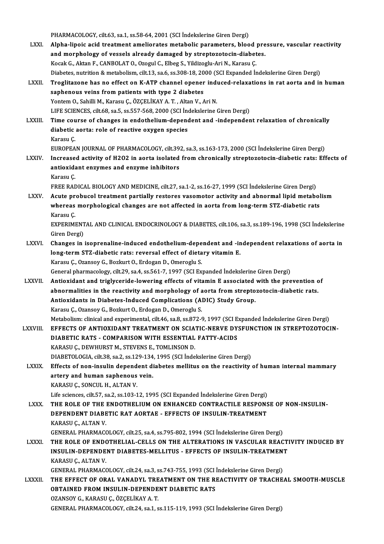PHARMACOLOGY, cilt.63, sa.1, ss.58-64, 2001 (SCI İndekslerine Giren Dergi)

- PHARMACOLOGY, cilt.63, sa.1, ss.58-64, 2001 (SCI İndekslerine Giren Dergi)<br>LXXI. Alpha-lipoic acid treatment ameliorates metabolic parameters, blood pressure, vascular reactivity PHARMACOLOGY, cilt.63, sa.1, ss.58-64, 2001 (SCI İndekslerine Giren Dergi)<br>Alpha-lipoic acid treatment ameliorates metabolic parameters, blood pre<br>and morphology of vessels already damaged by streptozotocin-diabetes.<br>Kesel and morphology of vessels already damaged by streptozotocin-diabetes.<br>Kocak G., Aktan F., CANBOLAT O., Ozogul C., Elbeg S., Yildizoglu-Ari N., Karasu Ç. and morphology of vessels already damaged by streptozotocin-diabetes.<br>Kocak G., Aktan F., CANBOLAT O., Ozogul C., Elbeg S., Yildizoglu-Ari N., Karasu Ç.<br>Diabetes, nutrition & metabolism, cilt.13, sa.6, ss.308-18, 2000 (SCI Kocak G., Aktan F., CANBOLAT O., Ozogul C., Elbeg S., Yildizoglu-Ari N., Karasu Ç.<br>Diabetes, nutrition & metabolism, cilt.13, sa.6, ss.308-18, 2000 (SCI Expanded Indekslerine Giren Dergi)<br>LXXII. Troglitazone has no effect
- Diabetes, nutrition & metabolism, cilt.13, sa.6, ss.308-18, 20<br>Troglitazone has no effect on K-ATP channel opener<br>saphenous veins from patients with type 2 diabetes<br>Ventem O. Sabilli M. Karasu G. ÖZCELİKAV A.T., Altan V. A Troglitazone has no effect on K-ATP channel opener indi<br>saphenous veins from patients with type 2 diabetes<br>Yontem O., Sahilli M., Karasu Ç., ÖZÇELİKAY A.T. , Altan V., Ari N.<br>LIEE SCIENCES, gilt 69, Sa 5, SS 557, 569, 2000 saphenous veins from patients with type 2 diabetes<br>Yontem O., Sahilli M., Karasu Ç., ÖZÇELİKAY A. T. , Altan V., Ari N.<br>LIFE SCIENCES. cilt.68, sa.5, ss.557-568, 2000 (SCI İndekslerine Giren Dergi) Yontem O., Sahilli M., Karasu Ç., ÖZÇELİKAY A. T. , Altan V., Ari N.<br>LIFE SCIENCES, cilt.68, sa.5, ss.557-568, 2000 (SCI İndekslerine Giren Dergi)<br>LXXIII. Time course of changes in endothelium-dependent and -independen LIFE SCIENCES, cilt.68, sa.5, ss.557-568, 2000 (SCI Ind<br>Time course of changes in endothelium-depend<br>diabetic aorta: role of reactive oxygen species<br>Kanasu C Time cou<br>diabetic<br>Karasu Ç.<br>EUROPEA
	-

diabetic aorta: role of reactive oxygen species<br>Karasu Ç.<br>EUROPEAN JOURNAL OF PHARMACOLOGY, cilt.392, sa.3, ss.163-173, 2000 (SCI İndekslerine Giren Dergi)

- Karasu Ç.<br>EUROPEAN JOURNAL OF PHARMACOLOGY, cilt.392, sa.3, ss.163-173, 2000 (SCI İndekslerine Giren Dergi)<br>LXXIV. Increased activity of H2O2 in aorta isolated from chronically streptozotocin-diabetic rats: Effects of EUROPEAN JOURNAL OF PHARMACOLOGY, cilt.39<br>Increased activity of H2O2 in aorta isolated<br>antioxidant enzymes and enzyme inhibitors<br>Karasu C Increase<br>antioxida<br>Karasu Ç.<br>EREE RAE antioxidant enzymes and enzyme inhibitors<br>Karasu Ç.<br>FREE RADICAL BIOLOGY AND MEDICINE, cilt.27, sa.1-2, ss.16-27, 1999 (SCI İndekslerine Giren Dergi)
	-

LXXV. Acute probucol treatment partially restores vasomotor activity and abnormal lipid metabolism FREE RADICAL BIOLOGY AND MEDICINE, cilt.27, sa.1-2, ss.16-27, 1999 (SCI İndekslerine Giren Dergi)<br>Acute probucol treatment partially restores vasomotor activity and abnormal lipid metabol<br>whereas morphological changes are Acute pr<br>whereas<br>Karasu Ç.<br>EYPERIMI whereas morphological changes are not affected in aorta from long-term STZ-diabetic rats<br>Karasu Ç.<br>EXPERIMENTAL AND CLINICAL ENDOCRINOLOGY & DIABETES, cilt.106, sa.3, ss.189-196, 1998 (SCI İndekslerine<br>Ciron Dergi)

Karasu Ç.<br>EXPERIMENT<br>Giren Dergi)<br>Changes in : EXPERIMENTAL AND CLINICAL ENDOCRINOLOGY & DIABETES, cilt.106, sa.3, ss.189-196, 1998 (SCI indekslerine<br>Giren Dergi)<br>LXXVI. Changes in isoprenaline-induced endothelium-dependent and -independent relaxations of aorta in<br>Jang

Giren Dergi)<br>Changes in isoprenaline-induced endothelium-dependent and -in<br>long-term STZ-diabetic rats: reversal effect of dietary vitamin E.<br>Karasu C. Ozansev C. Begluut Q. Erdesan D. Omeregiu S. Changes in isoprenaline-induced endothelium-depe<br>long-term STZ-diabetic rats: reversal effect of dieta<br>Karasu Ç., Ozansoy G., Bozkurt O., Erdogan D., Omeroglu S.<br>Coneral pharmasology silt 29, so 4, ss 561, 7, 1997 (SCL Ev long-term STZ-diabetic rats: reversal effect of dietary vitamin E.<br>Karasu Ç., Ozansoy G., Bozkurt O., Erdogan D., Omeroglu S.<br>General pharmacology, cilt.29, sa.4, ss.561-7, 1997 (SCI Expanded İndekslerine Giren Dergi)

Karasu Ç., Ozansoy G., Bozkurt O., Erdogan D., Omeroglu S.<br>General pharmacology, cilt.29, sa.4, ss.561-7, 1997 (SCI Expanded Indekslerine Giren Dergi)<br>LXXVII. Antioxidant and triglyceride-lowering effects of vitamin E asso General pharmacology, cilt.29, sa.4, ss.561-7, 1997 (SCI Expanded Indekslerine Giren Dergi)<br>Antioxidant and triglyceride-lowering effects of vitamin E associated with the prevention or<br>abnormalities in the reactivity and m Antioxidant and triglyceride-lowering effects of vitamin E associated<br>abnormalities in the reactivity and morphology of aorta from strepto<br>Antioxidants in Diabetes-Induced Complications (ADIC) Study Group.<br>Kanasy C. Orange abnormalities in the reactivity and morphology of a<br>Antioxidants in Diabetes-Induced Complications (A)<br>Karasu Ç., Ozansoy G., Bozkurt O., Erdogan D., Omeroglu S.<br>Metabeliam: clinical and experimental silt 46, 88, 88, 872, Karasu Ç., Ozansoy G., Bozkurt O., Erdogan D., Omeroglu S.<br>Metabolism: clinical and experimental, cilt.46, sa.8, ss.872-9, 1997 (SCI Expanded İndekslerine Giren Dergi)

- Karasu Ç., Ozansoy G., Bozkurt O., Erdogan D., Omeroglu S.<br>Metabolism: clinical and experimental, cilt.46, sa.8, ss.872-9, 1997 (SCI Expanded Indekslerine Giren Dergi)<br>LXXVIII. EFFECTS OF ANTIOXIDANT TREATMENT ON SCIATIC-N Metabolism: clinical and experimental, cilt.46, sa.8, ss.872-9, 1997 (SCI E.<br>EFFECTS OF ANTIOXIDANT TREATMENT ON SCIATIC-NERVE DY:<br>DIABETIC RATS - COMPARISON WITH ESSENTIAL FATTY-ACIDS<br>KARASU.C. DEWWIRST M. STEVENS E. TOMI DIABETIC RATS - COMPARISON WITH ESSENTIAL FATTY-ACIDS<br>KARASU Ç., DEWHURST M., STEVENS E., TOMLINSON D. DIABETIC RATS - COMPARISON WITH ESSENTIAL FATTY-ACIDS<br>KARASU Ç., DEWHURST M., STEVENS E., TOMLINSON D.<br>DIABETOLOGIA, cilt.38, sa.2, ss.129-134, 1995 (SCI İndekslerine Giren Dergi)<br>Fffects of non-insulin danandant diabetes
- LXXIX. Effects of non-insulin dependent diabetes mellitus on the reactivity of human internal mammary artery and human saphenous vein. DIABETOLOGIA, cilt.38, sa.2, ss.129-134<br>Effects of non-insulin dependent di<br>artery and human saphenous vein.<br>KARASU.C. SONCULH ALTAN V KARASUÇ., SONCULH., ALTAN V. KARASU Ç., SONCUL H., ALTAN V.<br>Life sciences, cilt.57, sa.2, ss.103-12, 1995 (SCI Expanded Indekslerine Giren Dergi)<br>LXXX. THE ROLE OF THE ENDOTHELIUM ON ENHANCED CONTRACTILE RESPONSE OF NON-INSULIN-<br>DEPENDENT DIABETIC BAT

Life sciences, cilt.57, sa.2, ss.103-12, 1995 (SCI Expanded İndekslerine Giren Dergi)

Life sciences, cilt.57, sa.2, ss.103-12, 1995 (SCI Expanded Indekslerine Giren Dergi)<br>THE ROLE OF THE ENDOTHELIUM ON ENHANCED CONTRACTILE RESPONS<br>DEPENDENT DIABETIC RAT AORTAE - EFFECTS OF INSULIN-TREATMENT<br>KARASU.C. ALTAN THE ROLE OF THE 1<br>DEPENDENT DIABE<br>KARASUÇ., ALTAN V.<br>CENERAL PHAPMACO DEPENDENT DIABETIC RAT AORTAE - EFFECTS OF INSULIN-TREATMENT<br>KARASU Ç., ALTAN V.<br>GENERAL PHARMACOLOGY, cilt.25, sa.4, ss.795-802, 1994 (SCI İndekslerine Giren Dergi) KARASU Ç., ALTAN V.<br>GENERAL PHARMACOLOGY, cilt.25, sa.4, ss.795-802, 1994 (SCI İndekslerine Giren Dergi)<br>LXXXI. THE ROLE OF ENDOTHELIAL-CELLS ON THE ALTERATIONS IN VASCULAR REACTIVITY INDUCED BY

GENERAL PHARMACOLOGY, cilt.25, sa.4, ss.795-802, 1994 (SCI İndekslerine Giren Dergi)<br>THE ROLE OF ENDOTHELIAL-CELLS ON THE ALTERATIONS IN VASCULAR REACTI<br>INSULIN-DEPENDENT DIABETES-MELLITUS - EFFECTS OF INSULIN-TREATMENT<br>KA THE ROLE OF ENDO<br>INSULIN-DEPENDE<br>KARASUÇ., ALTAN V.<br>CENERAL PHARMACO INSULIN-DEPENDENT DIABETES-MELLITUS - EFFECTS OF INSULIN-TREATMEN'<br>KARASU Ç., ALTAN V.<br>GENERAL PHARMACOLOGY, cilt.24, sa.3, ss.743-755, 1993 (SCI İndekslerine Giren Dergi)<br>THE EEEECT OF OPAL VANADVL TREATMENT ON THE REACTI

KARASU Ç., ALTAN V.<br>GENERAL PHARMACOLOGY, cilt.24, sa.3, ss.743-755, 1993 (SCI İndekslerine Giren Dergi)<br>LXXXII. THE EFFECT OF ORAL VANADYL TREATMENT ON THE REACTIVITY OF TRACHEAL SMOOTH-MUSCLE<br>OPTAINED EROM INSIII IN GENERAL PHARMACOLOGY, cilt.24, sa.3, ss.743-755, 1993 (SCI)<br>THE EFFECT OF ORAL VANADYL TREATMENT ON THE RI<br>OBTAINED FROM INSULIN-DEPENDENT DIABETIC RATS THE EFFECT OF ORAL VANADYL TRE<br>OBTAINED FROM INSULIN-DEPENDE<br>OZANSOY G., KARASU Ç., ÖZÇELİKAY A. T.<br>CENERAL PHARMAÇOLOCY silt 24 sp.1 -s OBTAINED FROM INSULIN-DEPENDENT DIABETIC RATS<br>OZANSOY G., KARASU Ç., ÖZÇELİKAY A. T.<br>GENERAL PHARMACOLOGY, cilt.24, sa.1, ss.115-119, 1993 (SCI İndekslerine Giren Dergi)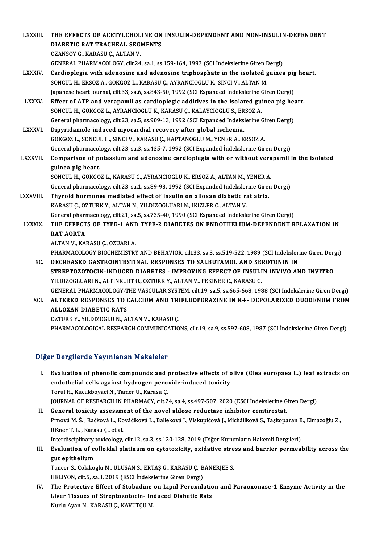LXXXIII. THE EFFECTS OF ACETYLCHOLINE ON INSULIN-DEPENDENT AND NON-INSULIN-DEPENDENT THE EFFECTS OF ACETYLCHOLINE ON<br>DIABETIC RAT TRACHEAL SEGMENTS DIABETIC RAT TRACHEAL SEGMENTS<br>OZANSOY G., KARASU C., ALTAN V. GENERAL PHARMACOLOGY, cilt.24, sa.1, ss.159-164,1993 (SCI İndekslerineGirenDergi) OZANSOY G., KARASU Ç., ALTAN V.<br>GENERAL PHARMACOLOGY, cilt.24, sa.1, ss.159-164, 1993 (SCI Indekslerine Giren Dergi)<br>LXXXIV. Cardioplegia with adenosine and adenosine triphosphate in the isolated guinea pig heart.<br>SONCUL H SONCUL H., ERSOZ A., GOKGOZ L., KARASU Ç., AYRANCIOGLU K., SINCI V., ALTAN M. Cardioplegia with adenosine and adenosine triphosphate in the isolated guinea pig<br>SONCUL H., ERSOZ A., GOKGOZ L., KARASU Ç., AYRANCIOGLU K., SINCI V., ALTAN M.<br>Japanese heart journal, cilt.33, sa.6, ss.843-50, 1992 (SCI Ex SONCUL H., ERSOZ A., GOKGOZ L., KARASU Ç., AYRANCIOGLU K., SINCI V., ALTAN M.<br>Japanese heart journal, cilt.33, sa.6, ss.843-50, 1992 (SCI Expanded Indekslerine Giren Dergi)<br>LXXXV. Effect of ATP and verapamil as cardioplegi Japanese heart journal, cilt.33, sa.6, ss.843-50, 1992 (SCI Expanded Indekslerine (<br>Effect of ATP and verapamil as cardioplegic additives in the isolated gui<br>SONCUL H., GOKGOZ L., AYRANCIOGLU K., KARASU Ç., KALAYCIOGLU S., Effect of ATP and verapamil as cardioplegic additives in the isolated guinea pig head.<br>SONCUL H., GOKGOZ L., AYRANCIOGLU K., KARASU Ç., KALAYCIOGLU S., ERSOZ A.<br>General pharmacology, cilt.23, sa.5, ss.909-13, 1992 (SCI Exp SONCUL H., GOKGOZ L., AYRANCIOGLU K., KARASU Ç., KALAYCIOGLU S., ER<br>General pharmacology, cilt.23, sa.5, ss.909-13, 1992 (SCI Expanded Indeks<br>LXXXVI. Dipyridamole induced myocardial recovery after global ischemia.<br>COKCOZ L General pharmacology, cilt.23, sa.5, ss.909-13, 1992 (SCI Expanded Indekslerine Gi<br>Dipyridamole induced myocardial recovery after global ischemia.<br>GOKGOZ L., SONCUL H., SINCI V., KARASU Ç., KAPTANOGLU M., YENER A., ERSOZ A Dipyridamole induced myocardial recovery after global ischemia.<br>GOKGOZ L., SONCUL H., SINCI V., KARASU Ç., KAPTANOGLU M., YENER A., ERSOZ A.<br>General pharmacology, cilt.23, sa.3, ss.435-7, 1992 (SCI Expanded İndekslerine Gi GOKGOZ L., SONCUL H., SINCI V., KARASU Ç., KAPTANOGLU M., YENER A., ERSOZ A.<br>General pharmacology, cilt.23, sa.3, ss.435-7, 1992 (SCI Expanded Indekslerine Giren Dergi)<br>LXXXVII. Comparison of potassium and adenosine cardio General pharmacol<br>Comparison of po<br>guinea pig heart.<br>SONCUL H. COVCO Comparison of potassium and adenosine cardioplegia with or without vera<br>guinea pig heart.<br>SONCUL H., GOKGOZ L., KARASU Ç., AYRANCIOGLU K., ERSOZ A., ALTAN M., YENER A.<br>Conoral pharmasology, silt 22, so 1, ss 80, 92, 1992 ( guinea pig heart.<br>SONCUL H., GOKGOZ L., KARASU Ç., AYRANCIOGLU K., ERSOZ A., ALTAN M., YENER A.<br>General pharmacology, cilt.23, sa.1, ss.89-93, 1992 (SCI Expanded İndekslerine Giren Dergi)<br>Thunoid hormanes mediated effect o SONCUL H., GOKGOZ L., KARASU Ç., AYRANCIOGLU K., ERSOZ A., ALTAN M., YENER A.<br>General pharmacology, cilt.23, sa.1, ss.89-93, 1992 (SCI Expanded Indekslerine Giren<br>LXXXVIII. Thyroid hormones mediated effect of insulin o General pharmacology, cilt.23, sa.1, ss.89-93, 1992 (SCI Expanded Indeksler<br>Thyroid hormones mediated effect of insulin on alloxan diabetic rate.<br>KARASU Ç., OZTURK Y., ALTAN N., YILDIZOGLUARI N., IKIZLER C., ALTAN V.<br>Conor Thyroid hormones mediated effect of insulin on alloxan diabetic rat atria.<br>KARASU Ç., OZTURK Y., ALTAN N., YILDIZOGLUARI N., IKIZLER C., ALTAN V.<br>General pharmacology, cilt.21, sa.5, ss.735-40, 1990 (SCI Expanded Indeksler LXXXIX. THE EFFECTS OF TYPE-1 AND TYPE-2 DIABETES ON ENDOTHELIUM-DEPENDENT RELAXATION IN **General pharr<br>THE EFFECT<br>RAT AORTA** ALTANV.,KARASUÇ.,OZUARIA. RAT AORTA<br>ALTAN V., KARASU Ç., OZUARI A.<br>PHARMACOLOGY BIOCHEMISTRY AND BEHAVIOR, cilt.33, sa.3, ss.519-522, 1989 (SCI İndekslerine Giren Dergi)<br>DECREASED CASTROINTESTINAL RESPONSES TO SALBUTAMOL AND SEROTONIN IN ALTAN V., KARASU Ç., OZUARI A.<br>PHARMACOLOGY BIOCHEMISTRY AND BEHAVIOR, cilt.33, sa.3, ss.519-522, 1989 (SCI İndeksleri<br>XC. DECREASED GASTROINTESTINAL RESPONSES TO SALBUTAMOL AND SEROTONIN IN<br>STREPTOZOTOCIN INDUCED DIARETES PHARMACOLOGY BIOCHEMISTRY AND BEHAVIOR, cilt.33, sa.3, ss.519-522, 1989 (SCI İndekslerine Giren Derg<br>DECREASED GASTROINTESTINAL RESPONSES TO SALBUTAMOL AND SEROTONIN IN<br>STREPTOZOTOCIN-INDUCED DIABETES - IMPROVING EFFECT OF DECREASED GASTROINTESTINAL RESPONSES TO SALBUTAMOL AND SE<br>STREPTOZOTOCIN-INDUCED DIABETES - IMPROVING EFFECT OF INSULI<br>YILDIZOGLUARI N., ALTINKURT O., OZTURK Y., ALTAN V., PEKINER C., KARASU Ç.<br>CENERAL BHARMACOLOCY THE VAS STREPTOZOTOCIN-INDUCED DIABETES - IMPROVING EFFECT OF INSULIN INVIVO AND INVITRO<br>YILDIZOGLUARI N., ALTINKURT O., OZTURK Y., ALTAN V., PEKINER C., KARASU Ç.<br>GENERAL PHARMACOLOGY-THE VASCULAR SYSTEM, cilt.19, sa.5, ss.665-66 YILDIZOGLUARI N., ALTINKURT O., OZTURK Y., ALTAN V., PEKINER C., KARASU Ç.<br>GENERAL PHARMACOLOGY-THE VASCULAR SYSTEM, cilt.19, sa.5, ss.665-668, 1988 (SCI İndekslerine Giren Dergi)<br>XCI. ALTERED RESPONSES TO CALCIUM AND

GENERAL PHARMACOLOGY-T<br>ALTERED RESPONSES TO (<br>ALLOXAN DIABETIC RATS<br>OZTUPK Y VU DIZOCLU N. A) ALTERED RESPONSES TO CALCIUM AND TRI<br>ALLOXAN DIABETIC RATS<br>OZTURK Y., YILDIZOGLU N., ALTAN V., KARASU Ç.<br>PHAPMAÇOLOCICAL PESEARCH COMMUNICATIO

ALLOXAN DIABETIC RATS<br>OZTURK Y., YILDIZOGLU N., ALTAN V., KARASU Ç.<br>PHARMACOLOGICAL RESEARCH COMMUNICATIONS, cilt.19, sa.9, ss.597-608, 1987 (SCI İndekslerine Giren Dergi)

## Diğer Dergilerde Yayınlanan Makaleler

I. Evaluation of phenolic compounds and protective effects of olive (Olea europaea L.) leaf extracts on endothelial cells against hydrogen peroxide-induced toxicity Torul H., Kucukboyaci N., Tamer U., Karasu Ç. endothelial cells against hydrogen peroxide-induced toxicity<br>Torul H., Kucukboyaci N., Tamer U., Karasu Ç.<br>JOURNAL OF RESEARCH IN PHARMACY, cilt.24, sa.4, ss.497-507, 2020 (ESCI İndekslerine Giren Dergi)<br>Conoral toxisity a

Torul H., Kucukboyaci N., Tamer U., Karasu Ç.<br>JOURNAL OF RESEARCH IN PHARMACY, cilt.24, sa.4, ss.497-507, 2020 (ESCI İndekslerine G<br>II. General toxicity assessment of the novel aldose reductase inhibitor cemtirestat.<br>Prnov JOURNAL OF RESEARCH IN PHARMACY, cilt.24, sa.4, ss.497-507, 2020 (ESCI İndekslerine Giren Dergi)<br>General toxicity assessment of the novel aldose reductase inhibitor cemtirestat.<br>Prnová M. Š. , Račková L., Kováčiková L., Ba General toxicity assessm<br>Prnová M. Š. , Račková L., Ko<br>Rižner T. L. , Karasu Ç., et al.<br>Interdieciplinery tevicelegy Prnová M. Š. , Račková L., Kováčiková L., Balleková J., Viskupičová J., Micháliková S., Taşkoparan B<br>Rižner T. L. , Karasu Ç., et al.<br>Interdisciplinary toxicology, cilt.12, sa.3, ss.120-128, 2019 (Diğer Kurumların Hakemli Rižner T. L. , Karasu Ç., et al.<br>Interdisciplinary toxicology, cilt.12, sa.3, ss.120-128, 2019 (Diğer Kurumların Hakemli Dergileri)<br>III. Evaluation of colloidal platinum on cytotoxicity, oxidative stress and barrier pe

# Interdisciplinary<br>Evaluation of contraction<br>Tunger S. Colalia Evaluation of colloidal platinum on cytotoxicity, oxidative stre<br>gut epithelium<br>Tuncer S., Colakoglu M., ULUSAN S., ERTAŞ G., KARASU Ç., BANERJEE S.<br>HELIYON silt 5, ss 3, 2019 (ESCL Indekslerine Giren Dergi)

gut epithelium<br>Tuncer S., Colakoglu M., ULUSAN S., ERTAŞ G., KARASU Ç., BANERJEE S.<br>HELIYON, cilt.5, sa.3, 2019 (ESCI İndekslerine Giren Dergi)

Tuncer S., Colakoglu M., ULUSAN S., ERTAŞ G., KARASU Ç., BANERJEE S.<br>HELIYON, cilt.5, sa.3, 2019 (ESCI İndekslerine Giren Dergi)<br>IV. The Protective Effect of Stobadine on Lipid Peroxidation and Paraoxonase-1 Enzyme Activit HELIYON, cilt.5, sa.3, 2019 (ESCI İndekslerine Giren Dergi)<br>The Protective Effect of Stobadine on Lipid Peroxidatic<br>Liver Tissues of Streptozotocin- Induced Diabetic Rats<br>Nurly Avor N. KARASU.C. KAVUTCU M The Protective Effect of Stobadine<br>Liver Tissues of Streptozotocin- In<br>Nurlu Ayan N., KARASU Ç., KAVUTÇU M.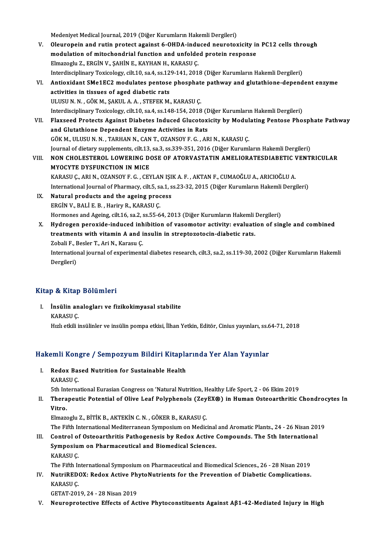Medeniyet Medical Journal, 2019 (Diğer Kurumların Hakemli Dergileri)

- V. Oleuropein and rutin protect against 6-OHDA-induced neurotoxicity in PC12 cells through Medeniyet Medical Journal, 2019 (Diğer Kurumların Hakemli Dergileri)<br>Oleuropein and rutin protect against 6-OHDA-induced neurotoxicity in<br>modulation of mitochondrial function and unfolded protein response<br>Elmazachi 7, EDCİ Oleuropein and rutin protect against 6-OHDA-indu<br>modulation of mitochondrial function and unfolde<br>Elmazoglu Z., ERGİN V., ŞAHİN E., KAYHAN H., KARASU Ç.<br>Interdisciplinery Teviselegy, silt 10, sa 4, sa 130, 141, 201 modulation of mitochondrial function and unfolded protein response<br>Elmazoglu Z., ERGİN V., ŞAHİN E., KAYHAN H., KARASU Ç.<br>Interdisciplinary Toxicology, cilt.10, sa.4, ss.129-141, 2018 (Diğer Kurumların Hakemli Dergileri)<br>A Elmazoglu Z., ERGİN V., ŞAHİN E., KAYHAN H., KARASU Ç.<br>Interdisciplinary Toxicology, cilt.10, sa.4, ss.129-141, 2018 (Diğer Kurumların Hakemli Dergileri)<br>VI. Antioxidant SMe1EC2 modulates pentose phosphate pathway and glut
- Interdisciplinary Toxicology, cilt.10, sa.4, ss.12<br>Antioxidant SMe1EC2 modulates pentose<br>activities in tissues of aged diabetic rats<br>III USU N.N. CÖV M. SAVIU A A. STEEEV M Antioxidant SMe1EC2 modulates pentose phosphat<br>activities in tissues of aged diabetic rats<br>ULUSU N. N. , GÖK M., ŞAKUL A. A. , STEFEK M., KARASU Ç.<br>Interdisciplinary Texisology, silt 10, sa 4, sa 148, 154, 2019 activities in tissues of aged diabetic rats<br>ULUSU N. N. , GÖK M., ŞAKUL A. A. , STEFEK M., KARASU Ç.<br>Interdisciplinary Toxicology, cilt.10, sa.4, ss.148-154, 2018 (Diğer Kurumların Hakemli Dergileri) ULUSU N. N. , GÖK M., ŞAKUL A. A. , STEFEK M., KARASU Ç.<br>Interdisciplinary Toxicology, cilt.10, sa.4, ss.148-154, 2018 (Diğer Kurumların Hakemli Dergileri)<br>VII. Flaxseed Protects Against Diabetes Induced Glucotoxicity
- Interdisciplinary Toxicology, cilt.10, sa.4, ss.148-154, 2018 (D<br>Flaxseed Protects Against Diabetes Induced Glucotoxi<br>and Glutathione Dependent Enzyme Activities in Rats<br>COK M, HUBUN N, TARHANN, CANT, OZANSOVE C, AR Flaxseed Protects Against Diabetes Induced Glucotoxicity by Modul<br>and Glutathione Dependent Enzyme Activities in Rats<br>GÖK M., ULUSU N. N. , TARHAN N., CAN T., OZANSOY F. G. , ARI N., KARASU Ç.<br>Journal of distany sunnlament and Glutathione Dependent Enzyme Activities in Rats<br>GÖK M., ULUSU N. N. , TARHAN N., CAN T., OZANSOY F. G. , ARI N., KARASU Ç.<br>Journal of dietary supplements, cilt.13, sa.3, ss.339-351, 2016 (Diğer Kurumların Hakemli Dergi GÖK M., ULUSU N. N. , TARHAN N., CAN T., OZANSOY F. G. , ARI N., KARASU Ç.<br>Journal of dietary supplements, cilt.13, sa.3, ss.339-351, 2016 (Diğer Kurumların Hakemli Dergileri)<br>VIII. NON CHOLESTEROL LOWERING DOSE OF ATO
- Journal of dietary supplements, cilt.13,<br>NON CHOLESTEROL LOWERING DO<br>MYOCYTE DYSFUNCTION IN MICE NON CHOLESTEROL LOWERING DOSE OF ATORVASTATIN AMELIORATESDIABETIC V<br>MYOCYTE DYSFUNCTION IN MICE<br>KARASU Ç., ARI N., OZANSOY F. G. , CEYLAN IŞIK A. F. , AKTAN F., CUMAOĞLU A., ARICIOĞLU A.<br>International Journal of Phormague MYOCYTE DYSFUNCTION IN MICE<br>KARASU Ç., ARI N., OZANSOY F. G. , CEYLAN IŞIK A. F. , AKTAN F., CUMAOĞLU A., ARICIOĞLU A.<br>International Journal of Pharmacy, cilt.5, sa.1, ss.23-32, 2015 (Diğer Kurumların Hakemli Dergileri)
- IX. Natural products and the ageing process ERGİNV.,BALİE.B. ,HariryR.,KARASUÇ. Natural products and the ageing process<br>ERGİN V., BALİ E. B. , Hariry R., KARASU Ç.<br>Hormones and Ageing, cilt.16, sa.2, ss.55-64, 2013 (Diğer Kurumların Hakemli Dergileri)<br>Hudnessa perevide indused inhibition of vesemeter
- ERGİN V., BALİ E. B. , Hariry R., KARASU Ç.<br>Hormones and Ageing, cilt.16, sa.2, ss.55-64, 2013 (Diğer Kurumların Hakemli Dergileri)<br>X. Hydrogen peroxide-induced inhibition of vasomotor activity: evaluation of single and co Hormones and Ageing, cilt.16, sa.2, ss.55-64, 2013 (Diğer Kurumların Hakemli<br>Hydrogen peroxide-induced inhibition of vasomotor activity: evaluati<br>treatments with vitamin A and insulin in streptozotocin-diabetic rats.<br>Zobal Hydrogen peroxide-induced inh<br>treatments with vitamin A and i<br>Zobali F., Besler T., Ari N., Karasu Ç.<br>International journal of experiment treatments with vitamin A and insulin in streptozotocin-diabetic rats.<br>Zobali F., Besler T., Ari N., Karasu Ç.<br>International journal of experimental diabetes research, cilt.3, sa.2, ss.119-30, 2002 (Diğer Kurumların Hakeml Zobali F., I<br>Internatio<br>Dergileri)

# Dergileri)<br>Kitap & Kitap Bölümleri

Itap & Kitap Bölümleri<br>I. İnsülin analogları ve fizikokimyasal stabilite<br>KARASU.C p & Artap<br>İnsülin an<br>KARASU Ç. KARASU Ç.<br>Hızlı etkili insülinler ve insülin pompa etkisi, İlhan Yetkin, Editör, Cinius yayınları, ss.64-71, 2018

# Hızlı etkili insulinler ve insulin pompa etkisi, ilnan Yetkin, Editor, Cinius yayınları, ss. e<br>Hakemli Kongre / Sempozyum Bildiri Kitaplarında Yer Alan Yayınlar

akemli Kongre / Sempozyum Bildiri Kitapla<br>I. Redox Based Nutrition for Sustainable Health<br>KARASU.C I. Redox Based Nutrition for Sustainable Health<br>KARASU C.

5th International Eurasian Congress on 'Natural Nutrition, Healthy Life Sport, 2 - 06 Ekim 2019

## KARASU Ç.<br>5th International Eurasian Congress on 'Natural Nutrition, Healthy Life Sport, 2 - 06 Ekim 2019<br>II. Therapeutic Potential of Olive Leaf Polyphenols (ZeyEX®) in Human Osteoarthritic Chondrocytes In<br>Vitro 5th Int<br>Thera<br>Vitro. Therapeutic Potential of Olive Leaf Polyphenols (Zey<br>Vitro.<br>Elmazoglu Z., BİTİK B., AKTEKİN C.N. , GÖKER B., KARASU Ç.<br>The Fifth International Mediterranean Sumnesium on Media Vitro.<br>Elmazoglu Z., BİTİK B., AKTEKİN C. N. , GÖKER B., KARASU Ç.<br>The Fifth International Mediterranean Symposium on Medicinal and Aromatic Plants., 24 - 26 Nisan 2019<br>Control of Ostoogrthritis Pethogenesis by Pedev Astiv

Elmazoglu Z., BİTİK B., AKTEKİN C. N. , GÖKER B., KARASU Ç.<br>1993 The Fifth International Mediterranean Symposium on Medicinal and Aromatic Plants., 24 - 26 Nisan 20.<br>111. Control of Osteoarthritis Pathogenesis by Redox Act The Fifth International Mediterranean Symposium on Medicinal<br>Control of Osteoarthritis Pathogenesis by Redox Active<br>Symposium on Pharmaceutical and Biomedical Sciences.<br>KARASU.C III. Control of Osteoarthritis Pathogenesis by Redox Active Compounds. The 5th International Symposium on Pharmaceutical and Biomedical Sciences.<br>KARASU C. Symposium on Pharmaceutical and Biomedical Sciences.<br>KARASU Ç.<br>The Fifth International Symposium on Pharmaceutical and Biomedical Sciences., 26 - 28 Nisan 2019<br>NutriBEDOY: Bodov, Active PhytoNutriants for the Prevention of

KARASU Ç.<br>The Fifth International Symposium on Pharmaceutical and Biomedical Sciences., 26 - 28 Nisan 2019<br>IV. NutriREDOX: Redox Active PhytoNutrients for the Prevention of Diabetic Complications. The Fifth Ir<br>**NutriRED**<br>KARASU Ç.<br>CETAT 201 NutriREDOX: Redox Active Ph<br>KARASU Ç.<br>GETAT-2019, 24 - 28 Nisan 2019<br>Naurenretestive Effects of As KARASU Ç.<br>GETAT-2019, 24 - 28 Nisan 2019<br>V. Neuroprotective Effects of Active Phytoconstituents Against Aβ1-42-Mediated Injury in High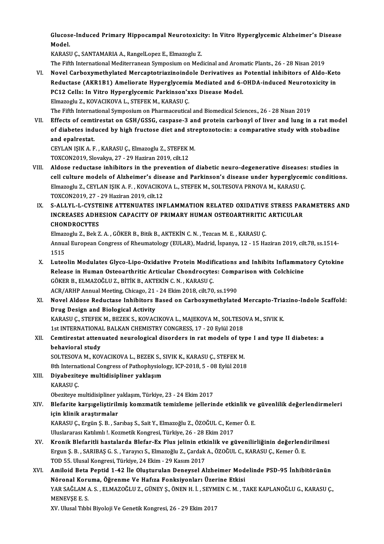Glucose-Induced Primary Hippocampal Neurotoxicity: In Vitro Hyperglycemic Alzheimer's Disease Glucos<br>Model.<br>KARASI

Model.<br>KARASU C., SANTAMARIA A., RangelLopez E., Elmazoglu Z.

The Fifth International Mediterranean Symposium on Medicinal and Aromatic Plants., 26 - 28 Nisan 2019

KARASU Ç., SANTAMARIA A., RangelLopez E., Elmazoglu Z.<br>The Fifth International Mediterranean Symposium on Medicinal and Aromatic Plants., 26 - 28 Nisan 2019<br>VI. Novel Carboxymethylated Mercaptotriazinoindole Derivatives as The Fifth International Mediterranean Symposium on Medicinal and Aromatic Plants., 26 - 28 Nisan 2019<br>Novel Carboxymethylated Mercaptotriazinoindole Derivatives as Potential inhibitors of Aldo-Ket<br>Reductase (AKR1B1) Amelio Novel Carboxymethylated Mercaptotriazinoindole Derivatives as<br>Reductase (AKR1B1) Ameliorate Hyperglycemia Mediated and 6-4<br>PC12 Cells: In Vitro Hyperglycemic Parkinson'xxs Disease Model.<br>Flmazodu 7, KOVACIKOVA I, STEEEK M, Reductase (AKR1B1) Ameliorate Hyperglycemi<br>PC12 Cells: In Vitro Hyperglycemic Parkinson'x<br>Elmazoglu Z., KOVACIKOVA L., STEFEK M., KARASU Ç.<br>The Fifth International Sunnesium en Pharmaseutica Elmazoglu Z., KOVACIKOVA L., STEFEK M., KARASU Ç.<br>The Fifth International Symposium on Pharmaceutical and Biomedical Sciences., 26 - 28 Nisan 2019

Elmazoglu Z., KOVACIKOVA L., STEFEK M., KARASU Ç.<br>The Fifth International Symposium on Pharmaceutical and Biomedical Sciences., 26 - 28 Nisan 2019<br>VII. Effects of cemtirestat on GSH/GSSG, caspase-3 and protein carbonyl of The Fifth International Symposium on Pharmaceutical and Biomedical Sciences., 26 - 28 Nisan 2019<br>Effects of cemtirestat on GSH/GSSG, caspase-3 and protein carbonyl of liver and lung in a rat mod<br>of diabetes induced by high Effects of cemti<br>of diabetes ind<br>and epalrestat. of diabetes induced by high fructose diet and streptozotocin: a comparative study with stobadine<br>and epalrestat.<br>CEYLAN IŞIK A. F. , KARASU Ç., Elmazoglu Z., STEFEK M.

TOXCON2019, Slovakya, 27 - 29 Haziran 2019, cilt.12

- CEYLAN IŞIK A. F. , KARASU Ç., Elmazoglu Z., STEFEK M.<br>TOXCON2019, Slovakya, 27 29 Haziran 2019, cilt.12<br>VIII. Aldose reductase inhibitors in the prevention of diabetic neuro-degenerative diseases: studies in<br>cell sultur TOXCON2019, Slovakya, 27 - 29 Haziran 2019, cilt.12<br>Aldose reductase inhibitors in the prevention of diabetic neuro-degenerative diseases: studies in<br>cell culture models of Alzheimer's disease and Parkinson's disease under Aldose reductase inhibitors in the prevention of diabetic neuro-degenerative diseases<br>cell culture models of Alzheimer's disease and Parkinson's disease under hyperglycen<br>Elmazoglu Z., CEYLAN IŞIK A. F. , KOVACIKOVA L., ST cell culture models of Alzheimer's dise<br>Elmazoglu Z., CEYLAN IŞIK A. F. , KOVACIKO<br>TOXCON2019, 27 - 29 Haziran 2019, cilt.12<br>S. ALLYL J. CYSTEINE ATTENUATES INI Elmazoglu Z., CEYLAN IŞIK A. F. , KOVACIKOVA L., STEFEK M., SOLTESOVA PRNOVA M., KARASU Ç.<br>TOXCON2019, 27 - 29 Haziran 2019, cilt.12<br>IX. S-ALLYL-L-CYSTEINE ATTENUATES INFLAMMATION RELATED OXIDATIVE STRESS PARAMETERS AN
- TOXCON2019, 27 29 Haziran 2019, cilt.12<br>S-ALLYL-L-CYSTEINE ATTENUATES INFLAMMATION RELATED OXIDATIVE STRESS PAF<br>INCREASES ADHESION CAPACITY OF PRIMARY HUMAN OSTEOARTHRITIC ARTICULAR<br>CHONDROCYTES S-ALLYL-L-CYSTI<br>INCREASES ADHI<br>CHONDROCYTES<br>Elmazogh: 7 - Bek 7 INCREASES ADHESION CAPACITY OF PRIMARY HUMAN OSTEOARTHRITIC<br>CHONDROCYTES<br>Elmazoglu Z., Bek Z. A. , GÖKER B., Bitik B., AKTEKİN C. N. , Tezcan M. E. , KARASU Ç.<br>Annual European Congress of Phoumatology (EULAP), Modrid Japan

CHONDROCYTES<br>Elmazoglu Z., Bek Z. A. , GÖKER B., Bitik B., AKTEKİN C. N. , Tezcan M. E. , KARASU Ç.<br>Annual European Congress of Rheumatology (EULAR), Madrid, İspanya, 12 - 15 Haziran 2019, cilt.78, ss.1514-<br>1515 Elmaz<br>Annua<br>1515<br>Lutes Annual European Congress of Rheumatology (EULAR), Madrid, İspanya, 12 - 15 Haziran 2019, cilt.78, ss.1514-<br>1515<br>X. Luteolin Modulates Glyco-Lipo-Oxidative Protein Modifications and Inhibits Inflammatory Cytokine<br>Release in

- 1515<br>Luteolin Modulates Glyco-Lipo-Oxidative Protein Modifications and Inhibits Inflammat<br>Release in Human Osteoarthritic Articular Chondrocytes: Comparison with Colchicine<br>CÖKER R. ELMAZOČLU Z. RİTİK R. AKTEKİN G.N., KARA Luteolin Modulates Glyco-Lipo-Oxidative Protein Modifi<br>Release in Human Osteoarthritic Articular Chondrocyte<br>GÖKER B., ELMAZOĞLU Z., BİTİK B., AKTEKİN C.N. , KARASU Ç.<br>ACP (APUP Annual Mosting Chisago, 21, 24 Ekim 2019, si Release in Human Osteoarthritic Articular Chondrocytes: Comp.<br>GÖKER B., ELMAZOĞLU Z., BİTİK B., AKTEKİN C. N. , KARASU Ç.<br>ACR/ARHP Annual Meeting, Chicago, 21 - 24 Ekim 2018, cilt.70, ss.1990<br>Navel Aldese Bedustase Inhibit GÖKER B., ELMAZOĞLU Z., BİTİK B., AKTEKİN C. N. , KARASU Ç.<br>ACR/ARHP Annual Meeting, Chicago, 21 - 24 Ekim 2018, cilt.70, ss.1990<br>XI. Novel Aldose Reductase Inhibitors Based on Carboxymethylated Mercapto-Triazino-Indol
- ACR/ARHP Annual Meeting, Chicago, 21<br>Novel Aldose Reductase Inhibitors I<br>Drug Design and Biological Activity<br>KARASU.C. STEEEK M. BEZEKS, KOVAC Novel Aldose Reductase Inhibitors Based on Carboxymethylated Mercapto-Tria<br>Drug Design and Biological Activity<br>KARASU Ç., STEFEK M., BEZEK S., KOVACIKOVA L., MAJEKOVA M., SOLTESOVA M., SIVIK K.<br>1st INTERNATIONAL BALKAN CHE Drug Design and Biological Activity<br>KARASU Ç., STEFEK M., BEZEK S., KOVACIKOVA L., MAJEKOVA M., SOLTESO<br>1st INTERNATIONAL BALKAN CHEMISTRY CONGRESS, 17 - 20 Eylül 2018<br>Comtinestet ettenuated neuvological disendere in net m

# KARASU Ç., STEFEK M., BEZEK S., KOVACIKOVA L., MAJEKOVA M., SOLTESOVA M., SIVIK K.<br>1st INTERNATIONAL BALKAN CHEMISTRY CONGRESS, 17 - 20 Eylül 2018<br>XII. Cemtirestat attenuated neurological disorders in rat models of typ 1st INTERNATIONA<br>Cemtirestat atten<br>behavioral study<br>SOLTESOVA M VOL Cemtirestat attenuated neurological disorders in rat models of ty<sub>]</sub><br>behavioral study<br>SOLTESOVA M., KOVACIKOVA L., BEZEK S., SIVIK K., KARASU Ç., STEFEK M.<br><sup>9th International Congress of Pethonbusialogy, ICB 2019 E., 09 Fu</sup>

behavioral study<br>SOLTESOVA M., KOVACIKOVA L., BEZEK S., SIVIK K., KARASU Ç., STEFEK M.<br>8th International Congress of Pathophysiology, ICP-2018, 5 - 08 Eylül 2018<br>Diveberitave multidisipliner veklesum 8th International Congress of Pathophysiology, ICP-2018, 5 - 08 Eylül 2018

XIII. Diyabeziteye multidisipliner yaklaşım<br>KARASU Ç. Diyabeziteye multidisipliner yaklaşım<br>KARASU Ç.<br>Obeziteye multidisipliner yaklaşım, Türkiye, 23 - 24 Ekim 2017<br>Plefarite karavaslistirilmiş komamatik temizleme iallerin

# KARASU Ç.<br>Obeziteye multidisipliner yaklaşım, Türkiye, 23 - 24 Ekim 2017<br>XIV. Blefarite karşıgeliştirilmiş komzmatik temizleme jellerinde etkinlik ve güvenlilik değerlendirmeleri<br>isin klinik avastırmalar Obeziteye multidisipliner y<br>Blefarite karşıgeliştirilı<br>için klinik araştırmalar<br>KARASU.C. Ergün S. B. So Blefarite karşıgeliştirilmiş komzmatik temizleme jellerinde etkinlik ve<br>için klinik araştırmalar<br>KARASU Ç., Ergün Ş. B. , Sarıbaş S., Sait Y., Elmazoğlu Z., ÖZOĞUL C., Kemer Ö. E.<br>Uluslararesı Katılmlı I. Kermetik Konspesi

için klinik araştırmalar<br>KARASU Ç., Ergün Ş. B. , Sarıbaş S., Sait Y., Elmazoğlu Z., ÖZOĞUL C., Kemer Ö. E.<br>Uluslararası Katılımlı !. Kozmetik Kongresi, Türkiye, 26 - 28 Ekim 2017

- KARASU Ç., Ergün Ş. B. , Sarıbaş S., Sait Y., Elmazoğlu Z., ÖZOĞUL C., Kemer Ö. E.<br>Uluslararası Katılımlı !. Kozmetik Kongresi, Türkiye, 26 28 Ekim 2017<br>XV. Kronik Blefaritli hastalarda Blefar-Ex Plus jelinin etkinlik ve Uluslararası Katılımlı !. Kozmetik Kongresi, Türkiye, 26 - 28 Ekim 2017<br><mark>Kronik Blefaritli hastalarda Blefar-Ex Plus jelinin etkinlik ve güvenilirliğinin değerlend</mark><br>Ergun Ş. B. , SARIBAŞ G. S. , Yarayıcı S., Elmazoğlu Z., Kronik Blefaritli hastalarda Blefar-Ex Plus jelinin etk<br>Ergun Ş. B. , SARIBAŞ G. S. , Yarayıcı S., Elmazoğlu Z., Çardak<br>TOD 55. Ulusal Kongresi, Türkiye, 24 Ekim - 29 Kasım 2017<br>Amiloid Beta Bantid 1,42 İle Olusturulan Dan Ergun Ş. B. , SARIBAŞ G. S. , Yarayıcı S., Elmazoğlu Z., Çardak A., ÖZOĞUL C., KARASU Ç., Kemer Ö. E.<br>TOD 55. Ulusal Kongresi, Türkiye, 24 Ekim - 29 Kasım 2017<br>XVI. — Amiloid Beta Peptid 1-42 İle Oluşturulan Deneysel Alzhe
- TOD 55. Ulusal Kongresi, Türkiye, 24 Ekim 29 Kasım 2017<br>Amiloid Beta Peptid 1-42 İle Oluşturulan Deneysel Alzheimer Mod<br>Nöronal Koruma, Öğrenme Ve Hafıza Fonksiyonları Üzerine Etkisi<br>YAR SAĞLAMA S., ELMAZOĞLUZ, CÜNEV S. Amiloid Beta Peptid 1-42 İle Oluşturulan Deneysel Alzheimer Modelinde PSD-95 İnhibitörünün<br>Nöronal Koruma, Öğrenme Ve Hafıza Fonksiyonları Üzerine Etkisi<br>YAR SAĞLAM A. S., ELMAZOĞLU Z., GÜNEY Ş., ÖNEN H. İ., SEYMEN C. M. , Nöronal Koruma, Öğrenme Ve Hafıza Fonksiyonları Üzerine Etkisi<br>YAR SAĞLAM A. S., ELMAZOĞLU Z., GÜNEY Ş., ÖNEN H. İ., SEYMEN C. M., T.<br>MENEVŞE E. S.<br>XV. Ulusal Tıbbi Biyoloji Ve Genetik Kongresi, 26 - 29 Ekim 2017 YAR SAĞLAM A. S., ELMAZOĞLU Z., GÜNEY Ş., ÖNEN H. İ., SEYMEN C. M., TAKE KAPLANOĞLU G., KARASU Ç.,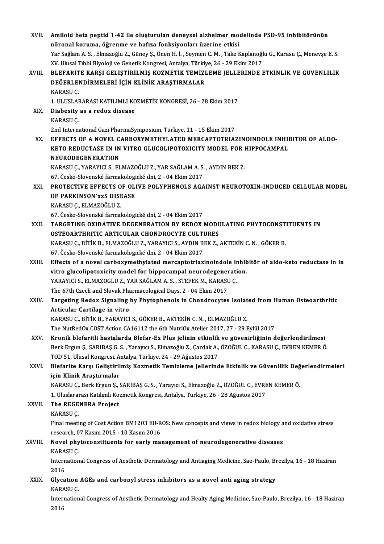| XVII.        | Amiloid beta peptid 1-42 ile oluşturulan deneysel alzheimer modelinde PSD-95 inhibitörünün                                                                              |
|--------------|-------------------------------------------------------------------------------------------------------------------------------------------------------------------------|
|              | nöronal koruma, öğrenme ve hafıza fonksiyonları üzerine etkisi                                                                                                          |
|              | Yar Sağlam A. S., Elmazoğlu Z., Güney Ş., Önen H. İ., Seymen C. M., Take Kaplanoğlu G., Karasu Ç., Menevşe E. S.                                                        |
|              | XV. Ulusal Tıbbi Biyoloji ve Genetik Kongresi, Antalya, Türkiye, 26 - 29 Ekim 2017                                                                                      |
| XVIII.       | BLEFARİTE KARŞI GELİŞTİRİLMIŞ KOZMETIK TEMİZLEME JELLERİNDE ETKINLIK VE GÜVENLILIK                                                                                      |
|              | DEĞERLENDİRMELERİ İÇİN KLİNİK ARAŞTIRMALAR                                                                                                                              |
|              | KARASU Ç                                                                                                                                                                |
|              | 1. ULUSLARARASI KATILIMLI KOZMETİK KONGRESİ, 26 - 28 Ekim 2017                                                                                                          |
| XIX.         | Diabesity as a redox disease                                                                                                                                            |
|              | KARASU <sub>Ç</sub>                                                                                                                                                     |
|              | 2nd International Gazi PharmaSymposium, Türkiye, 11 - 15 Ekim 2017                                                                                                      |
| XX.          | EFFECTS OF A NOVEL CARBOXYMETHYLATED MERCAPTOTRIAZINOINDOLE INHIBITOR OF ALDO-                                                                                          |
|              | KETO REDUCTASE IN IN VITRO GLUCOLIPOTOXICITY MODEL FOR HIPPOCAMPAL                                                                                                      |
|              | <b>NEURODEGENERATION</b>                                                                                                                                                |
|              | KARASU Ç., YARAYICI S., ELMAZOĞLU Z., YAR SAĞLAM A. S., AYDIN BEK Z.                                                                                                    |
|              | 67. Česko-Slovenské farmakologické dni, 2 - 04 Ekim 2017                                                                                                                |
| XXI.         | PROTECTIVE EFFECTS OF OLIVE POLYPHENOLS AGAINST NEUROTOXIN-INDUCED CELLULAR MODEL                                                                                       |
|              | OF PARKINSON'XXS DISEASE                                                                                                                                                |
|              | KARASU Ç., ELMAZOĞLU Z.                                                                                                                                                 |
|              | 67. Česko-Slovenské farmakologické dni, 2 - 04 Ekim 2017                                                                                                                |
| XXII.        | TARGETING OXIDATIVE DEGENERATION BY REDOX MODULATING PHYTOCONSTITUENTS IN                                                                                               |
|              | OSTEOARTHRITIC ARTICULAR CHONDROCYTE CULTURES                                                                                                                           |
|              | KARASU Ç., BİTİK B., ELMAZOĞLU Z., YARAYICI S., AYDIN BEK Z., AKTEKİN C. N., GÖKER B.                                                                                   |
|              | 67. Česko-Slovenské farmakologické dni, 2 - 04 Ekim 2017                                                                                                                |
| XXIII.       | Effects of a novel carboxymethylated mercaptotriazinoindole inhibitör of aldo-keto reductase in in                                                                      |
|              | vitro glucolipotoxicity model for hippocampal neurodegeneration.                                                                                                        |
|              | YARAYICI S., ELMAZOGLU Z., YAR SAĞLAM A. S., STEFEK M., KARASU Ç.                                                                                                       |
|              | The 67th Czech and Slovak Pharmacological Days, 2 - 04 Ekim 2017                                                                                                        |
| <b>XXIV</b>  | Targeting Redox Signaling by Phytophenols in Chondrocytes Isolated from Human Osteoarthritic                                                                            |
|              | Articular Cartilage in vitro                                                                                                                                            |
|              | KARASU Ç., BİTİK B., YARAYICI S., GÖKER B., AKTEKİN C. N., ELMAZOĞLU Z.                                                                                                 |
|              | The NutRedOx COST Action CA16112 the 6th NutriOx Atelier 2017, 27 - 29 Eylül 2017                                                                                       |
| XXV.         | Kronik blefaritli hastalarda Blefar-Ex Plus jelinin etkinlik ve güvenirliğinin değerlendirilmesi                                                                        |
|              | Berk Ergun Ş., SARIBAŞ G. S., Yarayıcı S., Elmazoğlu Z., Çardak A., ÖZOĞUL C., KARASU Ç., EVREN KEMER Ö.                                                                |
| XXVI.        | TOD 51. Ulusal Kongresi, Antalya, Türkiye, 24 - 29 Ağustos 2017<br>Blefarite Karşı Geliştirilmiş Kozmetik Temizleme Jellerinde Etkinlik ve Güvenlilik Değerlendirmeleri |
|              | için Klinik Araştırmalar                                                                                                                                                |
|              | KARASU Ç., Berk Ergun Ş., SARIBAŞ G. S., Yarayıcı S., Elmazoğlu Z., ÖZOĞUL C., EVREN KEMER Ö.                                                                           |
|              | 1. Uluslararası Katılımlı Kozmetik Kongresi, Antalya, Türkiye, 26 - 28 Ağustos 2017                                                                                     |
| <b>XXVII</b> | The REGENERA Project                                                                                                                                                    |
|              | KARASU <sub>Ç</sub>                                                                                                                                                     |
|              | Final meeting of Cost Action BM1203 EU-ROS: New concepts and views in redox biology and oxidative stress                                                                |
|              | research, 07 Kasım 2015 - 10 Kasım 2016                                                                                                                                 |
| XXVIII.      | Novel phytoconstituents for early management of neurodegenerative diseases                                                                                              |
|              | KARASU <sub>Ç</sub>                                                                                                                                                     |
|              | International Congress of Aesthetic Dermatology and Antiaging Medicine, Sao-Paulo, Brezilya, 16 - 18 Haziran                                                            |
|              | 2016                                                                                                                                                                    |
| XXIX.        | Glycation AGEs and carbonyl stress inhibitors as a novel anti aging strategy                                                                                            |
|              | KARASU Ç                                                                                                                                                                |
|              | International Congress of Aesthetic Dermatology and Healty Aging Medicine, Sao-Paulo, Brezilya, 16 - 18 Haziran                                                         |
|              | 2016                                                                                                                                                                    |